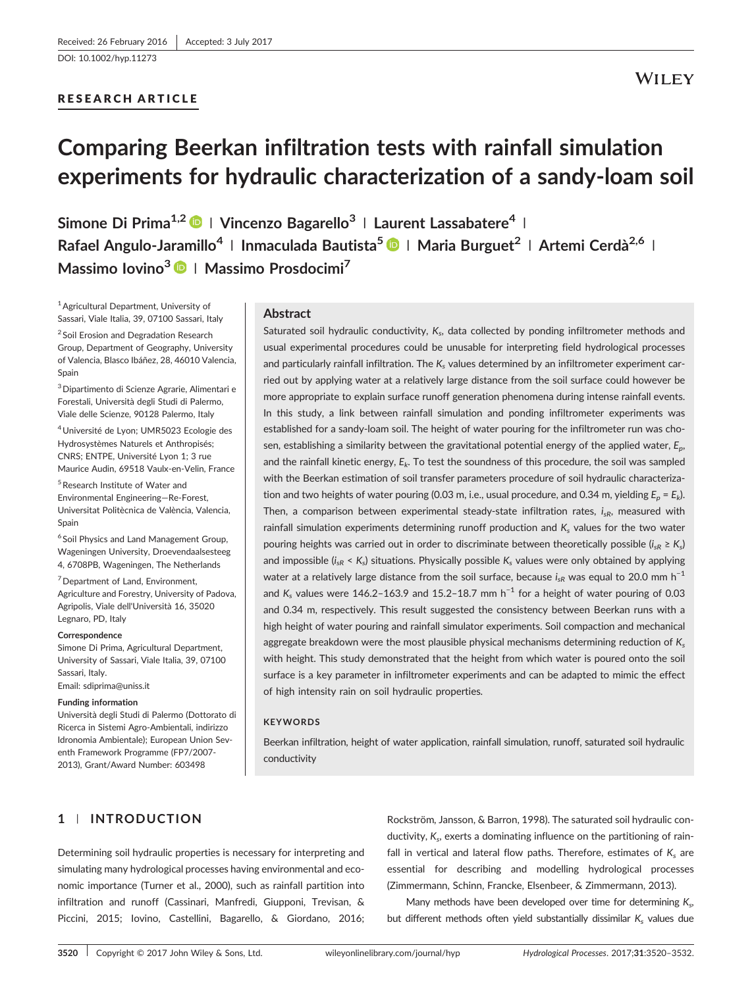[DOI: 10.1002/hyp.11273](https://doi.org/10.1002/hyp.11273)

# RESEARCH ARTICLE

# Comparing Beerkan infiltration tests with rainfall simulation experiments for hydraulic characterization of a sandy‐loam soil

Simone Di Prima<sup>1,2</sup> | Vincenzo Bagarello<sup>3</sup> | Laurent Lassabatere<sup>4</sup> | Rafael Angulo-Jaramillo<sup>4</sup> | Inmaculada Bautista<sup>5</sup> | Maria Burguet<sup>2</sup> | Artemi Cerdà<sup>2,6</sup> | Massimo Iovino<sup>3</sup> | Massimo Prosdocimi<sup>7</sup>

1Agricultural Department, University of Sassari, Viale Italia, 39, 07100 Sassari, Italy <sup>2</sup> Soil Erosion and Degradation Research Group, Department of Geography, University of Valencia, Blasco Ibáñez, 28, 46010 Valencia, Spain

3Dipartimento di Scienze Agrarie, Alimentari e Forestali, Università degli Studi di Palermo, Viale delle Scienze, 90128 Palermo, Italy

4Université de Lyon; UMR5023 Ecologie des Hydrosystèmes Naturels et Anthropisés; CNRS; ENTPE, Université Lyon 1; 3 rue Maurice Audin, 69518 Vaulx‐en‐Velin, France

5Research Institute of Water and Environmental Engineering—Re‐Forest, Universitat Politècnica de València, Valencia, Spain

<sup>6</sup> Soil Physics and Land Management Group, Wageningen University, Droevendaalsesteeg 4, 6708PB, Wageningen, The Netherlands

<sup>7</sup> Department of Land, Environment, Agriculture and Forestry, University of Padova, Agripolis, Viale dell'Università 16, 35020 Legnaro, PD, Italy

#### Correspondence

Simone Di Prima, Agricultural Department, University of Sassari, Viale Italia, 39, 07100 Sassari, Italy.

Email: [sdiprima@uniss.it](mailto:sdiprima@uniss.it)

#### Funding information

Università degli Studi di Palermo (Dottorato di Ricerca in Sistemi Agro‐Ambientali, indirizzo Idronomia Ambientale); European Union Seventh Framework Programme (FP7/2007‐ 2013), Grant/Award Number: 603498

## Abstract

Saturated soil hydraulic conductivity,  $K<sub>s</sub>$ , data collected by ponding infiltrometer methods and usual experimental procedures could be unusable for interpreting field hydrological processes and particularly rainfall infiltration. The  $K_s$  values determined by an infiltrometer experiment carried out by applying water at a relatively large distance from the soil surface could however be more appropriate to explain surface runoff generation phenomena during intense rainfall events. In this study, a link between rainfall simulation and ponding infiltrometer experiments was established for a sandy-loam soil. The height of water pouring for the infiltrometer run was chosen, establishing a similarity between the gravitational potential energy of the applied water,  $E_n$ , and the rainfall kinetic energy,  $E_k$ . To test the soundness of this procedure, the soil was sampled with the Beerkan estimation of soil transfer parameters procedure of soil hydraulic characterization and two heights of water pouring (0.03 m, i.e., usual procedure, and 0.34 m, yielding  $E_p = E_k$ ). Then, a comparison between experimental steady-state infiltration rates,  $i_{sR}$ , measured with rainfall simulation experiments determining runoff production and  $K_s$  values for the two water pouring heights was carried out in order to discriminate between theoretically possible ( $i_{sR} \ge K_s$ ) and impossible ( $i_{sR} < K_s$ ) situations. Physically possible  $K_s$  values were only obtained by applying water at a relatively large distance from the soil surface, because  $i_{sR}$  was equal to 20.0 mm h<sup>-1</sup> and K<sub>s</sub> values were 146.2–163.9 and 15.2–18.7 mm h<sup>-1</sup> for a height of water pouring of 0.03 and 0.34 m, respectively. This result suggested the consistency between Beerkan runs with a high height of water pouring and rainfall simulator experiments. Soil compaction and mechanical aggregate breakdown were the most plausible physical mechanisms determining reduction of  $K_s$ with height. This study demonstrated that the height from which water is poured onto the soil surface is a key parameter in infiltrometer experiments and can be adapted to mimic the effect of high intensity rain on soil hydraulic properties.

# **KEYWORDS**

Beerkan infiltration, height of water application, rainfall simulation, runoff, saturated soil hydraulic conductivity

# 1 | INTRODUCTION

Determining soil hydraulic properties is necessary for interpreting and simulating many hydrological processes having environmental and economic importance (Turner et al., 2000), such as rainfall partition into infiltration and runoff (Cassinari, Manfredi, Giupponi, Trevisan, & Piccini, 2015; Iovino, Castellini, Bagarello, & Giordano, 2016;

Rockström, Jansson, & Barron, 1998). The saturated soil hydraulic conductivity, K<sub>s</sub>, exerts a dominating influence on the partitioning of rainfall in vertical and lateral flow paths. Therefore, estimates of  $K_s$  are essential for describing and modelling hydrological processes (Zimmermann, Schinn, Francke, Elsenbeer, & Zimmermann, 2013).

Many methods have been developed over time for determining  $K<sub>s</sub>$ , but different methods often yield substantially dissimilar  $K_s$  values due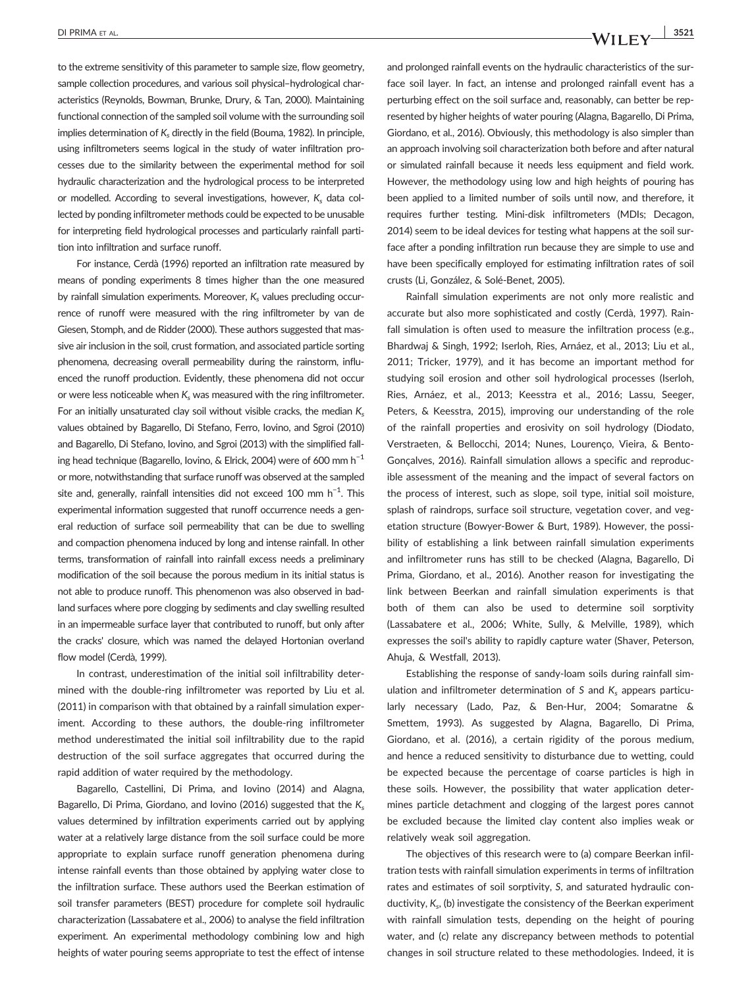to the extreme sensitivity of this parameter to sample size, flow geometry, sample collection procedures, and various soil physical–hydrological characteristics (Reynolds, Bowman, Brunke, Drury, & Tan, 2000). Maintaining functional connection of the sampled soil volume with the surrounding soil implies determination of  $K_s$  directly in the field (Bouma, 1982). In principle, using infiltrometers seems logical in the study of water infiltration processes due to the similarity between the experimental method for soil hydraulic characterization and the hydrological process to be interpreted or modelled. According to several investigations, however, K, data collected by ponding infiltrometer methods could be expected to be unusable for interpreting field hydrological processes and particularly rainfall partition into infiltration and surface runoff.

For instance, Cerdà (1996) reported an infiltration rate measured by means of ponding experiments 8 times higher than the one measured by rainfall simulation experiments. Moreover,  $K_s$  values precluding occurrence of runoff were measured with the ring infiltrometer by van de Giesen, Stomph, and de Ridder (2000). These authors suggested that massive air inclusion in the soil, crust formation, and associated particle sorting phenomena, decreasing overall permeability during the rainstorm, influenced the runoff production. Evidently, these phenomena did not occur or were less noticeable when  $K<sub>s</sub>$  was measured with the ring infiltrometer. For an initially unsaturated clay soil without visible cracks, the median  $K_s$ values obtained by Bagarello, Di Stefano, Ferro, Iovino, and Sgroi (2010) and Bagarello, Di Stefano, Iovino, and Sgroi (2013) with the simplified falling head technique (Bagarello, Iovino, & Elrick, 2004) were of 600 mm h<sup>-1</sup> or more, notwithstanding that surface runoff was observed at the sampled site and, generally, rainfall intensities did not exceed 100 mm  $h^{-1}$ . This experimental information suggested that runoff occurrence needs a general reduction of surface soil permeability that can be due to swelling and compaction phenomena induced by long and intense rainfall. In other terms, transformation of rainfall into rainfall excess needs a preliminary modification of the soil because the porous medium in its initial status is not able to produce runoff. This phenomenon was also observed in badland surfaces where pore clogging by sediments and clay swelling resulted in an impermeable surface layer that contributed to runoff, but only after the cracks' closure, which was named the delayed Hortonian overland flow model (Cerdà, 1999).

In contrast, underestimation of the initial soil infiltrability determined with the double‐ring infiltrometer was reported by Liu et al. (2011) in comparison with that obtained by a rainfall simulation experiment. According to these authors, the double-ring infiltrometer method underestimated the initial soil infiltrability due to the rapid destruction of the soil surface aggregates that occurred during the rapid addition of water required by the methodology.

Bagarello, Castellini, Di Prima, and Iovino (2014) and Alagna, Bagarello, Di Prima, Giordano, and Iovino (2016) suggested that the  $K_s$ values determined by infiltration experiments carried out by applying water at a relatively large distance from the soil surface could be more appropriate to explain surface runoff generation phenomena during intense rainfall events than those obtained by applying water close to the infiltration surface. These authors used the Beerkan estimation of soil transfer parameters (BEST) procedure for complete soil hydraulic characterization (Lassabatere et al., 2006) to analyse the field infiltration experiment. An experimental methodology combining low and high heights of water pouring seems appropriate to test the effect of intense and prolonged rainfall events on the hydraulic characteristics of the surface soil layer. In fact, an intense and prolonged rainfall event has a perturbing effect on the soil surface and, reasonably, can better be represented by higher heights of water pouring (Alagna, Bagarello, Di Prima, Giordano, et al., 2016). Obviously, this methodology is also simpler than an approach involving soil characterization both before and after natural or simulated rainfall because it needs less equipment and field work. However, the methodology using low and high heights of pouring has been applied to a limited number of soils until now, and therefore, it requires further testing. Mini‐disk infiltrometers (MDIs; Decagon, 2014) seem to be ideal devices for testing what happens at the soil surface after a ponding infiltration run because they are simple to use and have been specifically employed for estimating infiltration rates of soil crusts (Li, González, & Solé‐Benet, 2005).

Rainfall simulation experiments are not only more realistic and accurate but also more sophisticated and costly (Cerdà, 1997). Rainfall simulation is often used to measure the infiltration process (e.g., Bhardwaj & Singh, 1992; Iserloh, Ries, Arnáez, et al., 2013; Liu et al., 2011; Tricker, 1979), and it has become an important method for studying soil erosion and other soil hydrological processes (Iserloh, Ries, Arnáez, et al., 2013; Keesstra et al., 2016; Lassu, Seeger, Peters, & Keesstra, 2015), improving our understanding of the role of the rainfall properties and erosivity on soil hydrology (Diodato, Verstraeten, & Bellocchi, 2014; Nunes, Lourenço, Vieira, & Bento‐ Gonçalves, 2016). Rainfall simulation allows a specific and reproducible assessment of the meaning and the impact of several factors on the process of interest, such as slope, soil type, initial soil moisture, splash of raindrops, surface soil structure, vegetation cover, and vegetation structure (Bowyer‐Bower & Burt, 1989). However, the possibility of establishing a link between rainfall simulation experiments and infiltrometer runs has still to be checked (Alagna, Bagarello, Di Prima, Giordano, et al., 2016). Another reason for investigating the link between Beerkan and rainfall simulation experiments is that both of them can also be used to determine soil sorptivity (Lassabatere et al., 2006; White, Sully, & Melville, 1989), which expresses the soil's ability to rapidly capture water (Shaver, Peterson, Ahuja, & Westfall, 2013).

Establishing the response of sandy‐loam soils during rainfall simulation and infiltrometer determination of S and  $K_s$  appears particularly necessary (Lado, Paz, & Ben‐Hur, 2004; Somaratne & Smettem, 1993). As suggested by Alagna, Bagarello, Di Prima, Giordano, et al. (2016), a certain rigidity of the porous medium, and hence a reduced sensitivity to disturbance due to wetting, could be expected because the percentage of coarse particles is high in these soils. However, the possibility that water application determines particle detachment and clogging of the largest pores cannot be excluded because the limited clay content also implies weak or relatively weak soil aggregation.

The objectives of this research were to (a) compare Beerkan infiltration tests with rainfall simulation experiments in terms of infiltration rates and estimates of soil sorptivity, S, and saturated hydraulic conductivity,  $K_{s}$ , (b) investigate the consistency of the Beerkan experiment with rainfall simulation tests, depending on the height of pouring water, and (c) relate any discrepancy between methods to potential changes in soil structure related to these methodologies. Indeed, it is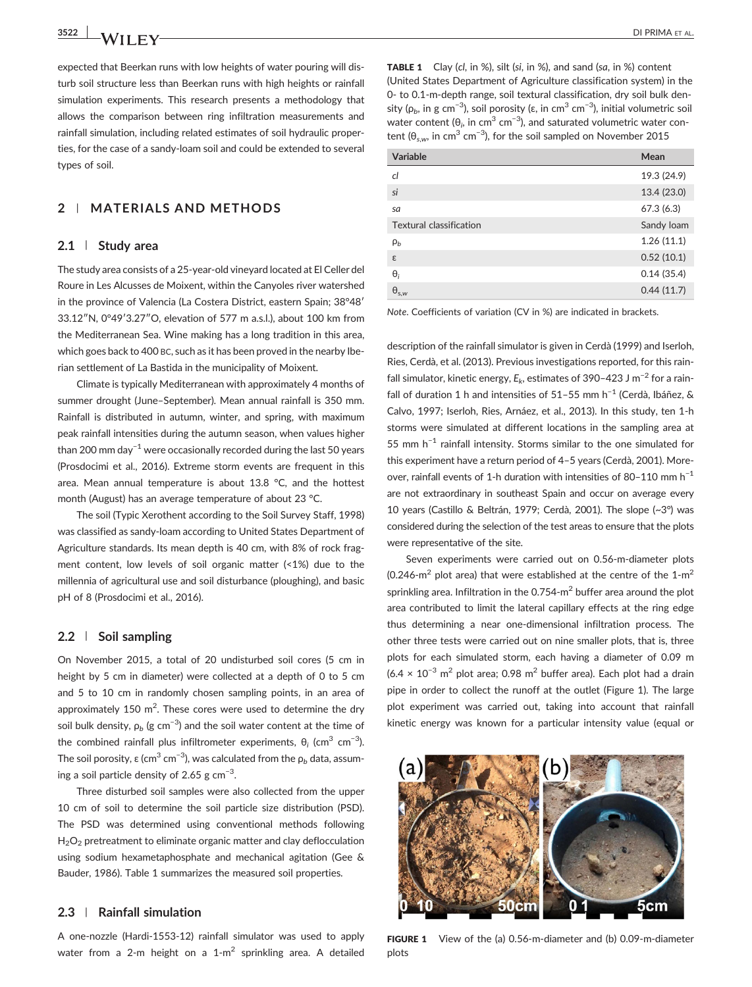expected that Beerkan runs with low heights of water pouring will disturb soil structure less than Beerkan runs with high heights or rainfall simulation experiments. This research presents a methodology that allows the comparison between ring infiltration measurements and rainfall simulation, including related estimates of soil hydraulic proper-

ties, for the case of a sandy‐loam soil and could be extended to several

# 2 | MATERIALS AND METHODS

# 2.1 | Study area

types of soil.

The study area consists of a 25‐year‐old vineyard located at El Celler del Roure in Les Alcusses de Moixent, within the Canyoles river watershed in the province of Valencia (La Costera District, eastern Spain; 38°48′ 33.12″N, 0°49′3.27″O, elevation of 577 m a.s.l.), about 100 km from the Mediterranean Sea. Wine making has a long tradition in this area, which goes back to 400 BC, such as it has been proved in the nearby Iberian settlement of La Bastida in the municipality of Moixent.

Climate is typically Mediterranean with approximately 4 months of summer drought (June–September). Mean annual rainfall is 350 mm. Rainfall is distributed in autumn, winter, and spring, with maximum peak rainfall intensities during the autumn season, when values higher than 200 mm day<sup>-1</sup> were occasionally recorded during the last 50 years (Prosdocimi et al., 2016). Extreme storm events are frequent in this area. Mean annual temperature is about 13.8 °C, and the hottest month (August) has an average temperature of about 23 °C.

The soil (Typic Xerothent according to the Soil Survey Staff, 1998) was classified as sandy‐loam according to United States Department of Agriculture standards. Its mean depth is 40 cm, with 8% of rock fragment content, low levels of soil organic matter (<1%) due to the millennia of agricultural use and soil disturbance (ploughing), and basic pH of 8 (Prosdocimi et al., 2016).

#### 2.2 | Soil sampling

On November 2015, a total of 20 undisturbed soil cores (5 cm in height by 5 cm in diameter) were collected at a depth of 0 to 5 cm and 5 to 10 cm in randomly chosen sampling points, in an area of approximately 150 m<sup>2</sup>. These cores were used to determine the dry soil bulk density,  $\rho_b$  (g cm $^{-3}$ ) and the soil water content at the time of the combined rainfall plus infiltrometer experiments,  $\theta_i$  (cm<sup>3</sup> cm<sup>-3</sup>). The soil porosity, ε (cm $^3$  cm $^{-3}$ ), was calculated from the  $\rho_b$  data, assuming a soil particle density of 2.65 g  $cm^{-3}$ .

Three disturbed soil samples were also collected from the upper 10 cm of soil to determine the soil particle size distribution (PSD). The PSD was determined using conventional methods following  $H<sub>2</sub>O<sub>2</sub>$  pretreatment to eliminate organic matter and clay deflocculation using sodium hexametaphosphate and mechanical agitation (Gee & Bauder, 1986). Table 1 summarizes the measured soil properties.

# 2.3 | Rainfall simulation

A one‐nozzle (Hardi‐1553‐12) rainfall simulator was used to apply water from a 2-m height on a  $1-m^2$  sprinkling area. A detailed TABLE 1 Clay (cl, in %), silt (si, in %), and sand (sa, in %) content (United States Department of Agriculture classification system) in the 0‐ to 0.1‐m‐depth range, soil textural classification, dry soil bulk density (ρ<sub>b</sub>, in g cm<sup>−3</sup>), soil porosity (ε, in cm<sup>3</sup> cm<sup>−3</sup>), initial volumetric soil water content ( $\theta_i$ , in cm $^3$  cm $^{-3}$ ), and saturated volumetric water content ( $\theta_{s,w}$ , in cm<sup>3</sup> cm<sup>−3</sup>), for the soil sampled on November 2015

| Variable                | Mean        |
|-------------------------|-------------|
| cl                      | 19.3 (24.9) |
| si                      | 13.4 (23.0) |
| sa                      | 67.3(6.3)   |
| Textural classification | Sandy loam  |
| $\rho_b$                | 1.26(11.1)  |
| ε                       | 0.52(10.1)  |
| $\Theta_i$              | 0.14(35.4)  |
| $\Theta_{s,w}$          | 0.44(11.7)  |

Note. Coefficients of variation (CV in %) are indicated in brackets.

description of the rainfall simulator is given in Cerdà (1999) and Iserloh, Ries, Cerdà, et al. (2013). Previous investigations reported, for this rainfall simulator, kinetic energy,  $E_k$ , estimates of 390–423 J m<sup>-2</sup> for a rainfall of duration 1 h and intensities of 51–55 mm h<sup>-1</sup> (Cerdà, Ibáñez, & Calvo, 1997; Iserloh, Ries, Arnáez, et al., 2013). In this study, ten 1‐h storms were simulated at different locations in the sampling area at 55 mm  $h^{-1}$  rainfall intensity. Storms similar to the one simulated for this experiment have a return period of 4–5 years (Cerdà, 2001). Moreover, rainfall events of 1‐h duration with intensities of 80–110 mm h−<sup>1</sup> are not extraordinary in southeast Spain and occur on average every 10 years (Castillo & Beltrán, 1979; Cerdà, 2001). The slope (~3°) was considered during the selection of the test areas to ensure that the plots were representative of the site.

Seven experiments were carried out on 0.56‐m‐diameter plots (0.246 $\text{-}$ m<sup>2</sup> plot area) that were established at the centre of the 1 $\text{-}$ m<sup>2</sup> sprinkling area. Infiltration in the 0.754-m<sup>2</sup> buffer area around the plot area contributed to limit the lateral capillary effects at the ring edge thus determining a near one‐dimensional infiltration process. The other three tests were carried out on nine smaller plots, that is, three plots for each simulated storm, each having a diameter of 0.09 m  $(6.4 \times 10^{-3} \text{ m}^2 \text{ plot area}; 0.98 \text{ m}^2 \text{ buffer area}).$  Each plot had a drain pipe in order to collect the runoff at the outlet (Figure 1). The large plot experiment was carried out, taking into account that rainfall kinetic energy was known for a particular intensity value (equal or



FIGURE 1 View of the (a) 0.56-m-diameter and (b) 0.09-m-diameter plots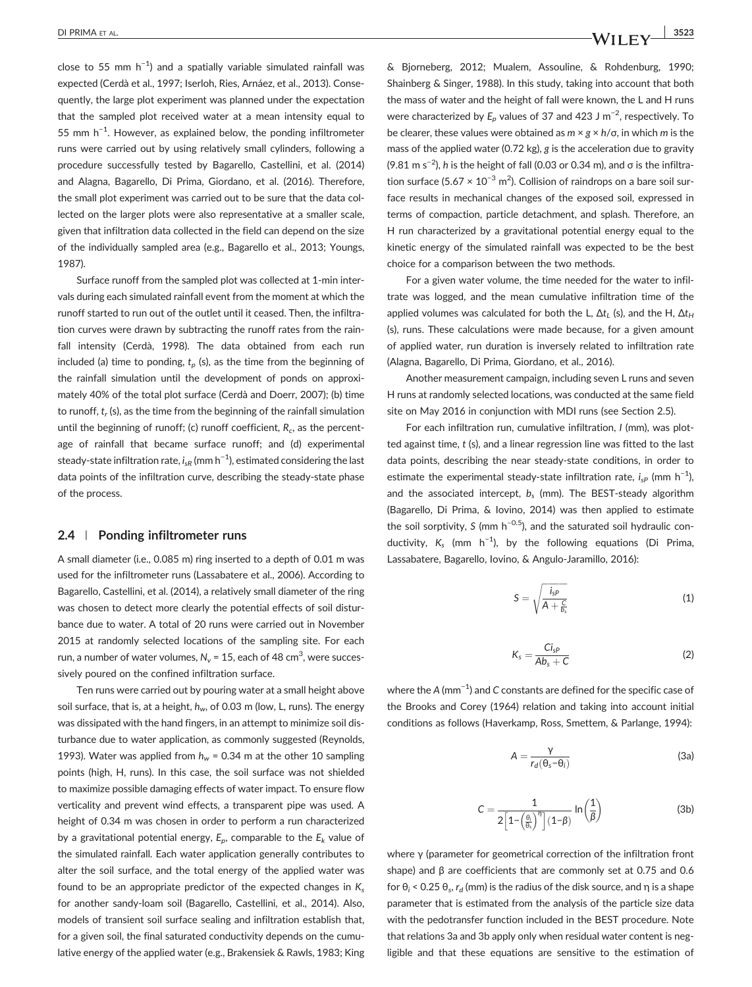close to 55 mm  $h^{-1}$ ) and a spatially variable simulated rainfall was expected (Cerdà et al., 1997; Iserloh, Ries, Arnáez, et al., 2013). Consequently, the large plot experiment was planned under the expectation that the sampled plot received water at a mean intensity equal to 55 mm h<sup>-1</sup>. However, as explained below, the ponding infiltrometer runs were carried out by using relatively small cylinders, following a procedure successfully tested by Bagarello, Castellini, et al. (2014) and Alagna, Bagarello, Di Prima, Giordano, et al. (2016). Therefore, the small plot experiment was carried out to be sure that the data collected on the larger plots were also representative at a smaller scale, given that infiltration data collected in the field can depend on the size of the individually sampled area (e.g., Bagarello et al., 2013; Youngs, 1987).

Surface runoff from the sampled plot was collected at 1‐min intervals during each simulated rainfall event from the moment at which the runoff started to run out of the outlet until it ceased. Then, the infiltration curves were drawn by subtracting the runoff rates from the rainfall intensity (Cerdà, 1998). The data obtained from each run included (a) time to ponding,  $t_p$  (s), as the time from the beginning of the rainfall simulation until the development of ponds on approximately 40% of the total plot surface (Cerdà and Doerr, 2007); (b) time to runoff,  $t_r$  (s), as the time from the beginning of the rainfall simulation until the beginning of runoff; (c) runoff coefficient,  $R_c$ , as the percentage of rainfall that became surface runoff; and (d) experimental steady-state infiltration rate,  $i_{\mathsf{s}\mathsf{R}}$  (mm h $^{-1}$ ), estimated considering the last data points of the infiltration curve, describing the steady‐state phase of the process.

#### 2.4 | Ponding infiltrometer runs

A small diameter (i.e., 0.085 m) ring inserted to a depth of 0.01 m was used for the infiltrometer runs (Lassabatere et al., 2006). According to Bagarello, Castellini, et al. (2014), a relatively small diameter of the ring was chosen to detect more clearly the potential effects of soil disturbance due to water. A total of 20 runs were carried out in November 2015 at randomly selected locations of the sampling site. For each run, a number of water volumes,  $N_v$  = 15, each of 48 cm $^3$ , were successively poured on the confined infiltration surface.

Ten runs were carried out by pouring water at a small height above soil surface, that is, at a height,  $h_w$ , of 0.03 m (low, L, runs). The energy was dissipated with the hand fingers, in an attempt to minimize soil disturbance due to water application, as commonly suggested (Reynolds, 1993). Water was applied from  $h_w = 0.34$  m at the other 10 sampling points (high, H, runs). In this case, the soil surface was not shielded to maximize possible damaging effects of water impact. To ensure flow verticality and prevent wind effects, a transparent pipe was used. A height of 0.34 m was chosen in order to perform a run characterized by a gravitational potential energy,  $E_p$ , comparable to the  $E_k$  value of the simulated rainfall. Each water application generally contributes to alter the soil surface, and the total energy of the applied water was found to be an appropriate predictor of the expected changes in  $K_s$ for another sandy‐loam soil (Bagarello, Castellini, et al., 2014). Also, models of transient soil surface sealing and infiltration establish that, for a given soil, the final saturated conductivity depends on the cumulative energy of the applied water (e.g., Brakensiek & Rawls, 1983; King

& Bjorneberg, 2012; Mualem, Assouline, & Rohdenburg, 1990; Shainberg & Singer, 1988). In this study, taking into account that both the mass of water and the height of fall were known, the L and H runs were characterized by  $E_p$  values of 37 and 423 J m $^{-2}$ , respectively. To be clearer, these values were obtained as  $m \times g \times h/\sigma$ , in which m is the mass of the applied water (0.72 kg), g is the acceleration due to gravity (9.81 m s<sup>-2</sup>), h is the height of fall (0.03 or 0.34 m), and  $\sigma$  is the infiltration surface (5.67  $\times$  10<sup>-3</sup> m<sup>2</sup>). Collision of raindrops on a bare soil surface results in mechanical changes of the exposed soil, expressed in terms of compaction, particle detachment, and splash. Therefore, an H run characterized by a gravitational potential energy equal to the kinetic energy of the simulated rainfall was expected to be the best choice for a comparison between the two methods.

For a given water volume, the time needed for the water to infiltrate was logged, and the mean cumulative infiltration time of the applied volumes was calculated for both the L,  $\Delta t_L$  (s), and the H,  $\Delta t_H$ (s), runs. These calculations were made because, for a given amount of applied water, run duration is inversely related to infiltration rate (Alagna, Bagarello, Di Prima, Giordano, et al., 2016).

Another measurement campaign, including seven L runs and seven H runs at randomly selected locations, was conducted at the same field site on May 2016 in conjunction with MDI runs (see Section 2.5).

For each infiltration run, cumulative infiltration, I (mm), was plotted against time, t (s), and a linear regression line was fitted to the last data points, describing the near steady‐state conditions, in order to estimate the experimental steady-state infiltration rate,  $i_{sP}$  (mm h<sup>-1</sup>), and the associated intercept,  $b_s$  (mm). The BEST-steady algorithm (Bagarello, Di Prima, & Iovino, 2014) was then applied to estimate the soil sorptivity, S (mm  $h^{-0.5}$ ), and the saturated soil hydraulic conductivity,  $K_s$  (mm h<sup>-1</sup>), by the following equations (Di Prima, Lassabatere, Bagarello, Iovino, & Angulo‐Jaramillo, 2016):

$$
S = \sqrt{\frac{i_{sP}}{A + \frac{C}{b_s}}}
$$
 (1)

$$
K_s = \frac{Ci_{sP}}{Ab_s + C}
$$
 (2)

where the A (mm $^{-1}$ ) and C constants are defined for the specific case of the Brooks and Corey (1964) relation and taking into account initial conditions as follows (Haverkamp, Ross, Smettem, & Parlange, 1994):

$$
A = \frac{Y}{r_d(\theta_s - \theta_i)}
$$
 (3a)

$$
C = \frac{1}{2\left[1 - \left(\frac{\theta_i}{\theta_s}\right)^{\eta}\right](1-\beta)} \ln\left(\frac{1}{\beta}\right)
$$
 (3b)

where γ (parameter for geometrical correction of the infiltration front shape) and β are coefficients that are commonly set at 0.75 and 0.6 for  $\theta_i$  < 0.25  $\theta_s$ ,  $r_d$  (mm) is the radius of the disk source, and η is a shape parameter that is estimated from the analysis of the particle size data with the pedotransfer function included in the BEST procedure. Note that relations 3a and 3b apply only when residual water content is negligible and that these equations are sensitive to the estimation of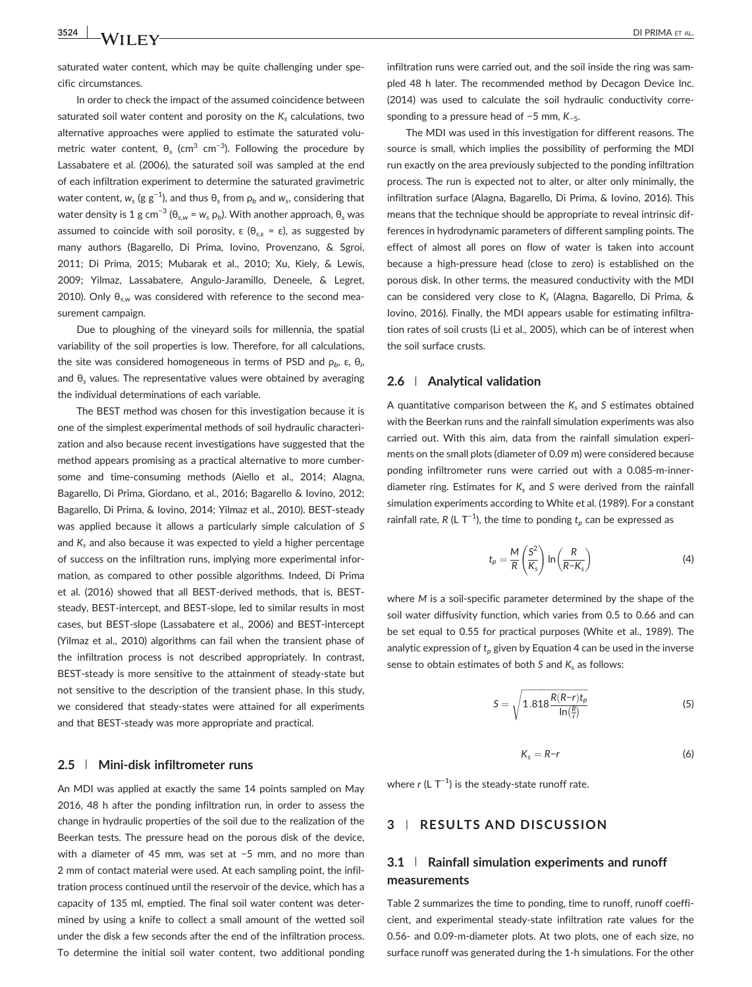saturated water content, which may be quite challenging under specific circumstances.

In order to check the impact of the assumed coincidence between saturated soil water content and porosity on the  $K_s$  calculations, two alternative approaches were applied to estimate the saturated volumetric water content,  $\theta_s$  (cm<sup>3</sup> cm<sup>-3</sup>). Following the procedure by Lassabatere et al. (2006), the saturated soil was sampled at the end of each infiltration experiment to determine the saturated gravimetric water content,  $w_{s}$  (g  $\rm g^{-1}$ ), and thus  $\theta_{s}$  from  $\rho_{b}$  and  $w_{s}$ , considering that water density is 1 g cm<sup>-3</sup> (θ<sub>s,w</sub> =  $w_s$  ρ<sub>b</sub>). With another approach, θ<sub>s</sub> was assumed to coincide with soil porosity,  $\varepsilon$  ( $\theta_{s,\varepsilon} = \varepsilon$ ), as suggested by many authors (Bagarello, Di Prima, Iovino, Provenzano, & Sgroi, 2011; Di Prima, 2015; Mubarak et al., 2010; Xu, Kiely, & Lewis, 2009; Yilmaz, Lassabatere, Angulo‐Jaramillo, Deneele, & Legret, 2010). Only  $\theta_{sw}$  was considered with reference to the second measurement campaign.

Due to ploughing of the vineyard soils for millennia, the spatial variability of the soil properties is low. Therefore, for all calculations, the site was considered homogeneous in terms of PSD and  $ρ_b$ , ε,  $θ_i$ , and  $\theta_s$  values. The representative values were obtained by averaging the individual determinations of each variable.

The BEST method was chosen for this investigation because it is one of the simplest experimental methods of soil hydraulic characterization and also because recent investigations have suggested that the method appears promising as a practical alternative to more cumbersome and time-consuming methods (Aiello et al., 2014; Alagna, Bagarello, Di Prima, Giordano, et al., 2016; Bagarello & Iovino, 2012; Bagarello, Di Prima, & Iovino, 2014; Yilmaz et al., 2010). BEST‐steady was applied because it allows a particularly simple calculation of S and  $K<sub>s</sub>$  and also because it was expected to yield a higher percentage of success on the infiltration runs, implying more experimental information, as compared to other possible algorithms. Indeed, Di Prima et al. (2016) showed that all BEST‐derived methods, that is, BEST‐ steady, BEST‐intercept, and BEST‐slope, led to similar results in most cases, but BEST‐slope (Lassabatere et al., 2006) and BEST‐intercept (Yilmaz et al., 2010) algorithms can fail when the transient phase of the infiltration process is not described appropriately. In contrast, BEST‐steady is more sensitive to the attainment of steady‐state but not sensitive to the description of the transient phase. In this study, we considered that steady‐states were attained for all experiments and that BEST‐steady was more appropriate and practical.

## 2.5 | Mini‐disk infiltrometer runs

An MDI was applied at exactly the same 14 points sampled on May 2016, 48 h after the ponding infiltration run, in order to assess the change in hydraulic properties of the soil due to the realization of the Beerkan tests. The pressure head on the porous disk of the device, with a diameter of 45 mm, was set at −5 mm, and no more than 2 mm of contact material were used. At each sampling point, the infiltration process continued until the reservoir of the device, which has a capacity of 135 ml, emptied. The final soil water content was determined by using a knife to collect a small amount of the wetted soil under the disk a few seconds after the end of the infiltration process. To determine the initial soil water content, two additional ponding infiltration runs were carried out, and the soil inside the ring was sampled 48 h later. The recommended method by Decagon Device Inc. (2014) was used to calculate the soil hydraulic conductivity corresponding to a pressure head of −5 mm, K−5.

The MDI was used in this investigation for different reasons. The source is small, which implies the possibility of performing the MDI run exactly on the area previously subjected to the ponding infiltration process. The run is expected not to alter, or alter only minimally, the infiltration surface (Alagna, Bagarello, Di Prima, & Iovino, 2016). This means that the technique should be appropriate to reveal intrinsic differences in hydrodynamic parameters of different sampling points. The effect of almost all pores on flow of water is taken into account because a high‐pressure head (close to zero) is established on the porous disk. In other terms, the measured conductivity with the MDI can be considered very close to  $K_s$  (Alagna, Bagarello, Di Prima, & Iovino, 2016). Finally, the MDI appears usable for estimating infiltration rates of soil crusts (Li et al., 2005), which can be of interest when the soil surface crusts.

## 2.6 | Analytical validation

A quantitative comparison between the  $K_s$  and S estimates obtained with the Beerkan runs and the rainfall simulation experiments was also carried out. With this aim, data from the rainfall simulation experiments on the small plots (diameter of 0.09 m) were considered because ponding infiltrometer runs were carried out with a 0.085‐m‐inner‐ diameter ring. Estimates for  $K_s$  and S were derived from the rainfall simulation experiments according to White et al. (1989). For a constant rainfall rate, R (L T<sup>-1</sup>), the time to ponding  $t_p$  can be expressed as

$$
t_p = \frac{M}{R} \left( \frac{S^2}{K_s} \right) \ln \left( \frac{R}{R - K_s} \right) \tag{4}
$$

where M is a soil-specific parameter determined by the shape of the soil water diffusivity function, which varies from 0.5 to 0.66 and can be set equal to 0.55 for practical purposes (White et al., 1989). The analytic expression of  $t_p$  given by Equation 4 can be used in the inverse sense to obtain estimates of both S and  $K_s$  as follows:

$$
S = \sqrt{1.818 \frac{R(R-r)t_p}{\ln(\frac{R}{r})}}
$$
(5)

$$
K_s = R - r \tag{6}
$$

where  $r$  (L  $T^{-1}$ ) is the steady-state runoff rate.

## 3 | RESULTS AND DISCUSSION

# 3.1 | Rainfall simulation experiments and runoff measurements

Table 2 summarizes the time to ponding, time to runoff, runoff coefficient, and experimental steady‐state infiltration rate values for the 0.56‐ and 0.09‐m‐diameter plots. At two plots, one of each size, no surface runoff was generated during the 1‐h simulations. For the other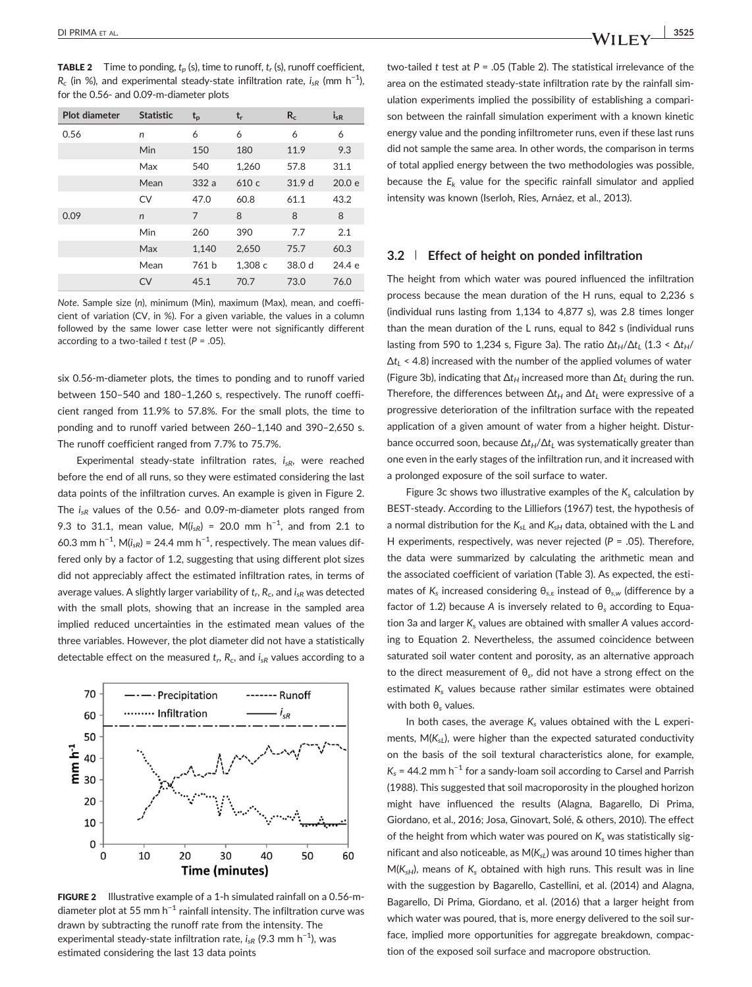**TABLE 2** Time to ponding,  $t_p$  (s), time to runoff,  $t_r$  (s), runoff coefficient,  $R_c$  (in %), and experimental steady-state infiltration rate,  $i_{sR}$  (mm h<sup>-1</sup>), for the 0.56‐ and 0.09‐m‐diameter plots

| Plot diameter | <b>Statistic</b> | $t_{p}$        | $t_{r}$ | $R_c$  | $i_{sR}$ |
|---------------|------------------|----------------|---------|--------|----------|
| 0.56          | n                | 6              | 6       | 6      | 6        |
|               | Min              | 150            | 180     | 11.9   | 9.3      |
|               | Max              | 540            | 1,260   | 57.8   | 31.1     |
|               | Mean             | 332a           | 610 c   | 31.9 d | 20.0 e   |
|               | CV               | 47.0           | 60.8    | 61.1   | 43.2     |
| 0.09          | $\mathsf{n}$     | $\overline{7}$ | 8       | 8      | 8        |
|               | Min              | 260            | 390     | 7.7    | 2.1      |
|               | Max              | 1,140          | 2,650   | 75.7   | 60.3     |
|               | Mean             | 761 b          | 1,308 с | 38.0 d | 24.4 e   |
|               | <b>CV</b>        | 45.1           | 70.7    | 73.0   | 76.0     |

Note. Sample size (n), minimum (Min), maximum (Max), mean, and coefficient of variation (CV, in %). For a given variable, the values in a column followed by the same lower case letter were not significantly different according to a two-tailed t test ( $P = .05$ ).

six 0.56‐m‐diameter plots, the times to ponding and to runoff varied between 150–540 and 180–1,260 s, respectively. The runoff coefficient ranged from 11.9% to 57.8%. For the small plots, the time to ponding and to runoff varied between 260–1,140 and 390–2,650 s. The runoff coefficient ranged from 7.7% to 75.7%.

Experimental steady-state infiltration rates,  $i_{sR}$ , were reached before the end of all runs, so they were estimated considering the last data points of the infiltration curves. An example is given in Figure 2. The  $i_{sR}$  values of the 0.56- and 0.09-m-diameter plots ranged from 9.3 to 31.1, mean value,  $M(i_{sR}) = 20.0$  mm h<sup>-1</sup>, and from 2.1 to 60.3 mm h<sup>-1</sup>, M( $i_{sR}$ ) = 24.4 mm h<sup>-1</sup>, respectively. The mean values differed only by a factor of 1.2, suggesting that using different plot sizes did not appreciably affect the estimated infiltration rates, in terms of average values. A slightly larger variability of  $t_r$ ,  $R_c$ , and  $i_{SR}$  was detected with the small plots, showing that an increase in the sampled area implied reduced uncertainties in the estimated mean values of the three variables. However, the plot diameter did not have a statistically detectable effect on the measured  $t_r$ ,  $R_c$ , and  $i_{sR}$  values according to a



FIGURE 2 Illustrative example of a 1-h simulated rainfall on a 0.56-mdiameter plot at 55 mm  $h^{-1}$  rainfall intensity. The infiltration curve was drawn by subtracting the runoff rate from the intensity. The experimental steady-state infiltration rate,  $i_{sR}$  (9.3 mm h $^{-1}$ ), was estimated considering the last 13 data points

two-tailed t test at  $P = .05$  (Table 2). The statistical irrelevance of the area on the estimated steady‐state infiltration rate by the rainfall simulation experiments implied the possibility of establishing a comparison between the rainfall simulation experiment with a known kinetic energy value and the ponding infiltrometer runs, even if these last runs did not sample the same area. In other words, the comparison in terms of total applied energy between the two methodologies was possible, because the  $E_k$  value for the specific rainfall simulator and applied intensity was known (Iserloh, Ries, Arnáez, et al., 2013).

## 3.2 | Effect of height on ponded infiltration

The height from which water was poured influenced the infiltration process because the mean duration of the H runs, equal to 2,236 s (individual runs lasting from 1,134 to 4,877 s), was 2.8 times longer than the mean duration of the L runs, equal to 842 s (individual runs lasting from 590 to 1,234 s, Figure 3a). The ratio  $\Delta t_H/\Delta t_L$  (1.3 <  $\Delta t_H$ /  $\Delta t_L$  < 4.8) increased with the number of the applied volumes of water (Figure 3b), indicating that  $\Delta t_H$  increased more than  $\Delta t_L$  during the run. Therefore, the differences between  $\Delta t_H$  and  $\Delta t_L$  were expressive of a progressive deterioration of the infiltration surface with the repeated application of a given amount of water from a higher height. Disturbance occurred soon, because  $\Delta t_H/\Delta t_L$  was systematically greater than one even in the early stages of the infiltration run, and it increased with a prolonged exposure of the soil surface to water.

Figure 3c shows two illustrative examples of the  $K_s$  calculation by BEST‐steady. According to the Lilliefors (1967) test, the hypothesis of a normal distribution for the  $K_{sL}$  and  $K_{sH}$  data, obtained with the L and H experiments, respectively, was never rejected ( $P = .05$ ). Therefore, the data were summarized by calculating the arithmetic mean and the associated coefficient of variation (Table 3). As expected, the estimates of  $K_s$  increased considering  $\theta_{s,\varepsilon}$  instead of  $\theta_{s,w}$  (difference by a factor of 1.2) because A is inversely related to  $\theta_s$  according to Equation 3a and larger  $K_s$  values are obtained with smaller A values according to Equation 2. Nevertheless, the assumed coincidence between saturated soil water content and porosity, as an alternative approach to the direct measurement of  $\theta_s$ , did not have a strong effect on the estimated  $K_s$  values because rather similar estimates were obtained with both  $θ$ <sub>s</sub> values.

In both cases, the average  $K_s$  values obtained with the L experiments,  $M(K_{s1})$ , were higher than the expected saturated conductivity on the basis of the soil textural characteristics alone, for example,  $K_s$  = 44.2 mm h<sup>-1</sup> for a sandy-loam soil according to Carsel and Parrish (1988). This suggested that soil macroporosity in the ploughed horizon might have influenced the results (Alagna, Bagarello, Di Prima, Giordano, et al., 2016; Josa, Ginovart, Solé, & others, 2010). The effect of the height from which water was poured on  $K_s$  was statistically significant and also noticeable, as  $M(K_{sL})$  was around 10 times higher than  $M(K<sub>sH</sub>)$ , means of  $K<sub>s</sub>$  obtained with high runs. This result was in line with the suggestion by Bagarello, Castellini, et al. (2014) and Alagna, Bagarello, Di Prima, Giordano, et al. (2016) that a larger height from which water was poured, that is, more energy delivered to the soil surface, implied more opportunities for aggregate breakdown, compaction of the exposed soil surface and macropore obstruction.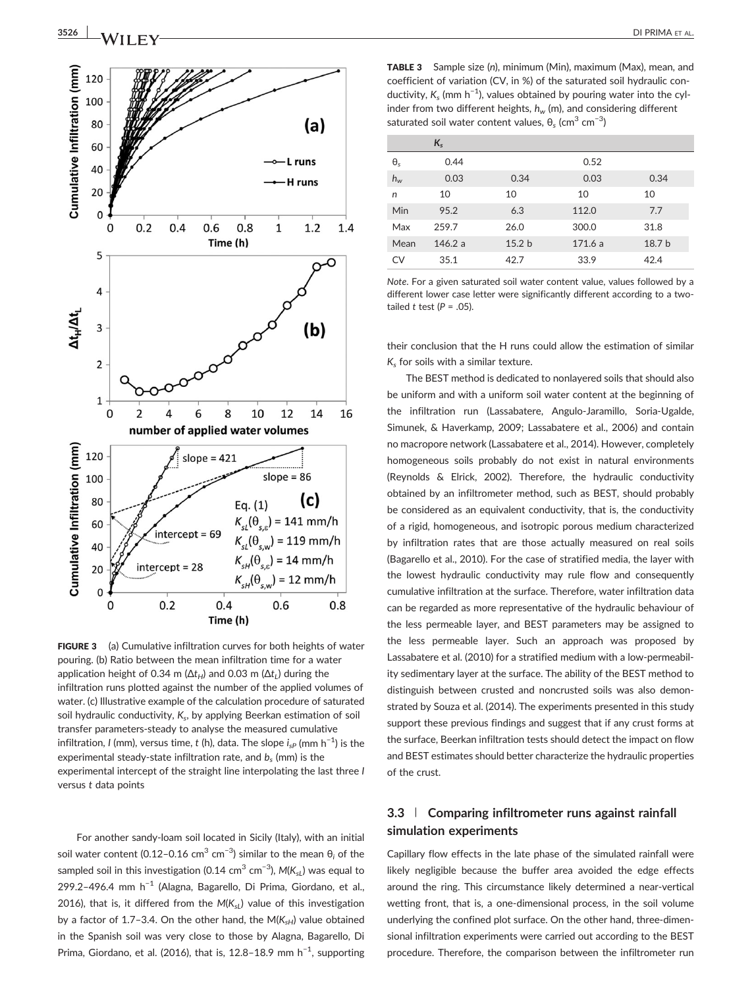

FIGURE 3 (a) Cumulative infiltration curves for both heights of water pouring. (b) Ratio between the mean infiltration time for a water application height of 0.34 m ( $\Delta t$ <sub>H</sub>) and 0.03 m ( $\Delta t$ <sub>L</sub>) during the infiltration runs plotted against the number of the applied volumes of water. (c) Illustrative example of the calculation procedure of saturated soil hydraulic conductivity,  $K_s$ , by applying Beerkan estimation of soil transfer parameters‐steady to analyse the measured cumulative infiltration, I (mm), versus time, t (h), data. The slope  $i_{sP}$  (mm  $\rm h^{-1}$ ) is the experimental steady-state infiltration rate, and  $b_s$  (mm) is the experimental intercept of the straight line interpolating the last three I versus t data points

For another sandy‐loam soil located in Sicily (Italy), with an initial soil water content (0.12–0.16 cm $^3$  cm $^{-3}$ ) similar to the mean  $\theta_i$  of the sampled soil in this investigation (0.14 cm $^3$  cm $^{\text{-3}}$ ), M(K $_{\text{sL}}$ ) was equal to 299.2-496.4 mm h<sup>-1</sup> (Alagna, Bagarello, Di Prima, Giordano, et al., 2016), that is, it differed from the  $M(K_{sL})$  value of this investigation by a factor of 1.7-3.4. On the other hand, the  $M(K_{sH})$  value obtained in the Spanish soil was very close to those by Alagna, Bagarello, Di Prima, Giordano, et al. (2016), that is, 12.8-18.9 mm  $h^{-1}$ , supporting

TABLE 3 Sample size (n), minimum (Min), maximum (Max), mean, and coefficient of variation (CV, in %) of the saturated soil hydraulic conductivity,  $K_s$  (mm h<sup>-1</sup>), values obtained by pouring water into the cylinder from two different heights,  $h_w$  (m), and considering different saturated soil water content values,  $\theta_s$  (cm $^3$  cm $^{-3}$ )

|              | $K_{s}$ |                   |        |        |
|--------------|---------|-------------------|--------|--------|
| $\theta_{s}$ | 0.44    |                   | 0.52   |        |
| $h_w$        | 0.03    | 0.34              | 0.03   | 0.34   |
| n            | 10      | 10                | 10     | 10     |
| Min          | 95.2    | 6.3               | 112.0  | 7.7    |
| Max          | 259.7   | 26.0              | 300.0  | 31.8   |
| Mean         | 146.2a  | 15.2 <sub>b</sub> | 171.6a | 18.7 b |
| CV           | 35.1    | 42.7              | 33.9   | 42.4   |

Note. For a given saturated soil water content value, values followed by a different lower case letter were significantly different according to a twotailed t test ( $P = .05$ ).

their conclusion that the H runs could allow the estimation of similar  $K<sub>s</sub>$  for soils with a similar texture.

The BEST method is dedicated to nonlayered soils that should also be uniform and with a uniform soil water content at the beginning of the infiltration run (Lassabatere, Angulo‐Jaramillo, Soria‐Ugalde, Simunek, & Haverkamp, 2009; Lassabatere et al., 2006) and contain no macropore network (Lassabatere et al., 2014). However, completely homogeneous soils probably do not exist in natural environments (Reynolds & Elrick, 2002). Therefore, the hydraulic conductivity obtained by an infiltrometer method, such as BEST, should probably be considered as an equivalent conductivity, that is, the conductivity of a rigid, homogeneous, and isotropic porous medium characterized by infiltration rates that are those actually measured on real soils (Bagarello et al., 2010). For the case of stratified media, the layer with the lowest hydraulic conductivity may rule flow and consequently cumulative infiltration at the surface. Therefore, water infiltration data can be regarded as more representative of the hydraulic behaviour of the less permeable layer, and BEST parameters may be assigned to the less permeable layer. Such an approach was proposed by Lassabatere et al. (2010) for a stratified medium with a low‐permeability sedimentary layer at the surface. The ability of the BEST method to distinguish between crusted and noncrusted soils was also demonstrated by Souza et al. (2014). The experiments presented in this study support these previous findings and suggest that if any crust forms at the surface, Beerkan infiltration tests should detect the impact on flow and BEST estimates should better characterize the hydraulic properties of the crust.

# 3.3 | Comparing infiltrometer runs against rainfall simulation experiments

Capillary flow effects in the late phase of the simulated rainfall were likely negligible because the buffer area avoided the edge effects around the ring. This circumstance likely determined a near‐vertical wetting front, that is, a one-dimensional process, in the soil volume underlying the confined plot surface. On the other hand, three‐dimensional infiltration experiments were carried out according to the BEST procedure. Therefore, the comparison between the infiltrometer run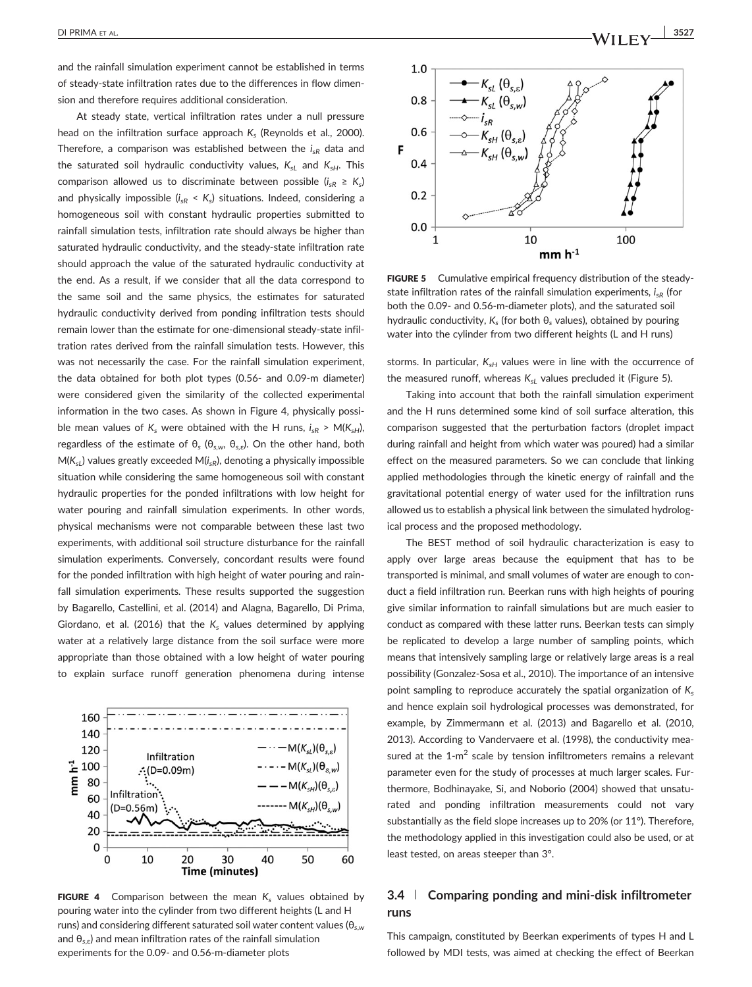and the rainfall simulation experiment cannot be established in terms of steady‐state infiltration rates due to the differences in flow dimension and therefore requires additional consideration.

At steady state, vertical infiltration rates under a null pressure head on the infiltration surface approach  $K_s$  (Reynolds et al., 2000). Therefore, a comparison was established between the  $i<sub>SP</sub>$  data and the saturated soil hydraulic conductivity values,  $K_{sL}$  and  $K_{sH}$ . This comparison allowed us to discriminate between possible ( $i_{sR} \geq K_s$ ) and physically impossible  $(i_{sR} < K_s)$  situations. Indeed, considering a homogeneous soil with constant hydraulic properties submitted to rainfall simulation tests, infiltration rate should always be higher than saturated hydraulic conductivity, and the steady-state infiltration rate should approach the value of the saturated hydraulic conductivity at the end. As a result, if we consider that all the data correspond to the same soil and the same physics, the estimates for saturated hydraulic conductivity derived from ponding infiltration tests should remain lower than the estimate for one‐dimensional steady‐state infiltration rates derived from the rainfall simulation tests. However, this was not necessarily the case. For the rainfall simulation experiment, the data obtained for both plot types (0.56‐ and 0.09‐m diameter) were considered given the similarity of the collected experimental information in the two cases. As shown in Figure 4, physically possible mean values of  $K_s$  were obtained with the H runs,  $i_{sR} > M(K_{sH})$ , regardless of the estimate of  $θ_s$  ( $θ_{s,w}$ ,  $θ_{s,\varepsilon}$ ). On the other hand, both  $M(K_{sl})$  values greatly exceeded  $M(i_{sR})$ , denoting a physically impossible situation while considering the same homogeneous soil with constant hydraulic properties for the ponded infiltrations with low height for water pouring and rainfall simulation experiments. In other words, physical mechanisms were not comparable between these last two experiments, with additional soil structure disturbance for the rainfall simulation experiments. Conversely, concordant results were found for the ponded infiltration with high height of water pouring and rainfall simulation experiments. These results supported the suggestion by Bagarello, Castellini, et al. (2014) and Alagna, Bagarello, Di Prima, Giordano, et al. (2016) that the  $K_s$  values determined by applying water at a relatively large distance from the soil surface were more appropriate than those obtained with a low height of water pouring to explain surface runoff generation phenomena during intense



FIGURE 4 Comparison between the mean  $K_s$  values obtained by pouring water into the cylinder from two different heights (L and H runs) and considering different saturated soil water content values ( $\theta_{s,w}$ and  $\theta_{s,\epsilon}$ ) and mean infiltration rates of the rainfall simulation experiments for the 0.09‐ and 0.56‐m‐diameter plots



FIGURE 5 Cumulative empirical frequency distribution of the steadystate infiltration rates of the rainfall simulation experiments,  $i_{SR}$  (for both the 0.09‐ and 0.56‐m‐diameter plots), and the saturated soil hydraulic conductivity,  $K_s$  (for both  $\theta_s$  values), obtained by pouring water into the cylinder from two different heights (L and H runs)

storms. In particular,  $K_{sH}$  values were in line with the occurrence of the measured runoff, whereas  $K_{sL}$  values precluded it (Figure 5).

Taking into account that both the rainfall simulation experiment and the H runs determined some kind of soil surface alteration, this comparison suggested that the perturbation factors (droplet impact during rainfall and height from which water was poured) had a similar effect on the measured parameters. So we can conclude that linking applied methodologies through the kinetic energy of rainfall and the gravitational potential energy of water used for the infiltration runs allowed us to establish a physical link between the simulated hydrological process and the proposed methodology.

The BEST method of soil hydraulic characterization is easy to apply over large areas because the equipment that has to be transported is minimal, and small volumes of water are enough to conduct a field infiltration run. Beerkan runs with high heights of pouring give similar information to rainfall simulations but are much easier to conduct as compared with these latter runs. Beerkan tests can simply be replicated to develop a large number of sampling points, which means that intensively sampling large or relatively large areas is a real possibility (Gonzalez‐Sosa et al., 2010). The importance of an intensive point sampling to reproduce accurately the spatial organization of  $K_s$ and hence explain soil hydrological processes was demonstrated, for example, by Zimmermann et al. (2013) and Bagarello et al. (2010, 2013). According to Vandervaere et al. (1998), the conductivity measured at the  $1-m^2$  scale by tension infiltrometers remains a relevant parameter even for the study of processes at much larger scales. Furthermore, Bodhinayake, Si, and Noborio (2004) showed that unsaturated and ponding infiltration measurements could not vary substantially as the field slope increases up to 20% (or 11°). Therefore, the methodology applied in this investigation could also be used, or at least tested, on areas steeper than 3°.

# 3.4 | Comparing ponding and mini-disk infiltrometer runs

This campaign, constituted by Beerkan experiments of types H and L followed by MDI tests, was aimed at checking the effect of Beerkan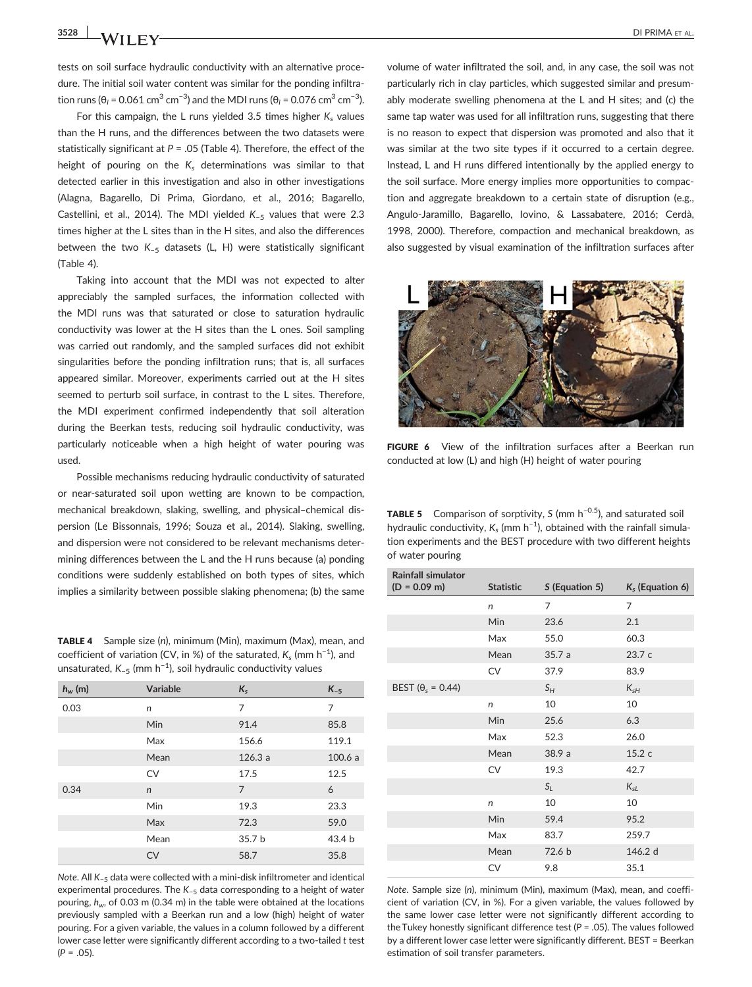tests on soil surface hydraulic conductivity with an alternative procedure. The initial soil water content was similar for the ponding infiltration runs (θ<sub>i</sub> = 0.061 cm<sup>3</sup> cm<sup>−3</sup>) and the MDI runs (θ<sub>i</sub> = 0.076 cm<sup>3</sup> cm<sup>−3</sup>).

For this campaign, the L runs yielded 3.5 times higher  $K_s$  values than the H runs, and the differences between the two datasets were statistically significant at  $P = 0.05$  (Table 4). Therefore, the effect of the height of pouring on the  $K_s$  determinations was similar to that detected earlier in this investigation and also in other investigations (Alagna, Bagarello, Di Prima, Giordano, et al., 2016; Bagarello, Castellini, et al., 2014). The MDI yielded K−<sup>5</sup> values that were 2.3 times higher at the L sites than in the H sites, and also the differences between the two K−<sup>5</sup> datasets (L, H) were statistically significant (Table 4).

Taking into account that the MDI was not expected to alter appreciably the sampled surfaces, the information collected with the MDI runs was that saturated or close to saturation hydraulic conductivity was lower at the H sites than the L ones. Soil sampling was carried out randomly, and the sampled surfaces did not exhibit singularities before the ponding infiltration runs; that is, all surfaces appeared similar. Moreover, experiments carried out at the H sites seemed to perturb soil surface, in contrast to the L sites. Therefore, the MDI experiment confirmed independently that soil alteration during the Beerkan tests, reducing soil hydraulic conductivity, was particularly noticeable when a high height of water pouring was used.

Possible mechanisms reducing hydraulic conductivity of saturated or near‐saturated soil upon wetting are known to be compaction, mechanical breakdown, slaking, swelling, and physical–chemical dispersion (Le Bissonnais, 1996; Souza et al., 2014). Slaking, swelling, and dispersion were not considered to be relevant mechanisms determining differences between the L and the H runs because (a) ponding conditions were suddenly established on both types of sites, which implies a similarity between possible slaking phenomena; (b) the same

TABLE 4 Sample size (n), minimum (Min), maximum (Max), mean, and coefficient of variation (CV, in %) of the saturated,  $K_s$  (mm h<sup>-1</sup>), and unsaturated,  $K_{-5}$  (mm h<sup>-1</sup>), soil hydraulic conductivity values

| $h_{w}$ (m) | Variable     | $K_{s}$        | $K_{-5}$ |
|-------------|--------------|----------------|----------|
| 0.03        | n            | 7              | 7        |
|             | Min          | 91.4           | 85.8     |
|             | Max          | 156.6          | 119.1    |
|             | Mean         | 126.3a         | 100.6a   |
|             | <b>CV</b>    | 17.5           | 12.5     |
| 0.34        | $\mathsf{n}$ | $\overline{7}$ | 6        |
|             | Min          | 19.3           | 23.3     |
|             | Max          | 72.3           | 59.0     |
|             | Mean         | 35.7 b         | 43.4 b   |
|             | <b>CV</b>    | 58.7           | 35.8     |
|             |              |                |          |

Note. All K<sub>-5</sub> data were collected with a mini-disk infiltrometer and identical experimental procedures. The K−<sup>5</sup> data corresponding to a height of water pouring,  $h_w$ , of 0.03 m (0.34 m) in the table were obtained at the locations previously sampled with a Beerkan run and a low (high) height of water pouring. For a given variable, the values in a column followed by a different lower case letter were significantly different according to a two-tailed t test  $(P = .05)$ .

volume of water infiltrated the soil, and, in any case, the soil was not particularly rich in clay particles, which suggested similar and presumably moderate swelling phenomena at the L and H sites; and (c) the same tap water was used for all infiltration runs, suggesting that there is no reason to expect that dispersion was promoted and also that it was similar at the two site types if it occurred to a certain degree. Instead, L and H runs differed intentionally by the applied energy to the soil surface. More energy implies more opportunities to compaction and aggregate breakdown to a certain state of disruption (e.g., Angulo‐Jaramillo, Bagarello, Iovino, & Lassabatere, 2016; Cerdà, 1998, 2000). Therefore, compaction and mechanical breakdown, as also suggested by visual examination of the infiltration surfaces after



FIGURE 6 View of the infiltration surfaces after a Beerkan run conducted at low (L) and high (H) height of water pouring

**TABLE 5** Comparison of sorptivity, S (mm  $h^{-0.5}$ ), and saturated soil hydraulic conductivity,  $K_s$  (mm  $h^{-1}$ ), obtained with the rainfall simulation experiments and the BEST procedure with two different heights of water pouring

| <b>Rainfall simulator</b><br>$(D = 0.09$ m) | <b>Statistic</b> | S (Equation 5) | $K_s$ (Equation 6) |
|---------------------------------------------|------------------|----------------|--------------------|
|                                             | n                | 7              | $\overline{7}$     |
|                                             | <b>Min</b>       | 23.6           | 2.1                |
|                                             | Max              | 55.0           | 60.3               |
|                                             | Mean             | 35.7a          | 23.7 c             |
|                                             | <b>CV</b>        | 37.9           | 83.9               |
| BEST ( $\theta_s$ = 0.44)                   |                  | $S_H$          | $K_{\rm sH}$       |
|                                             | n                | 10             | 10                 |
|                                             | Min              | 25.6           | 6.3                |
|                                             | Max              | 52.3           | 26.0               |
|                                             | Mean             | 38.9 a         | 15.2 c             |
|                                             | CV               | 19.3           | 42.7               |
|                                             |                  | $S_L$          | $K_{sL}$           |
|                                             | n                | 10             | 10                 |
|                                             | <b>Min</b>       | 59.4           | 95.2               |
|                                             | Max              | 83.7           | 259.7              |
|                                             | Mean             | 72.6 b         | 146.2 d            |
|                                             | CV               | 9.8            | 35.1               |

Note. Sample size (n), minimum (Min), maximum (Max), mean, and coefficient of variation (CV, in %). For a given variable, the values followed by the same lower case letter were not significantly different according to the Tukey honestly significant difference test ( $P = .05$ ). The values followed by a different lower case letter were significantly different. BEST = Beerkan estimation of soil transfer parameters.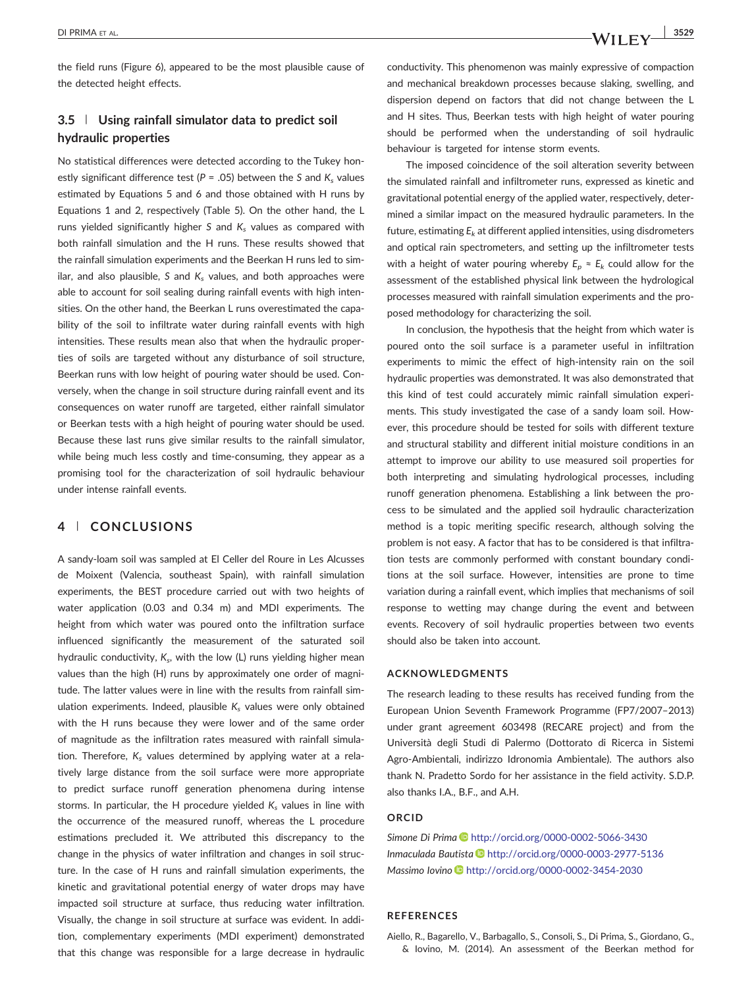the field runs (Figure 6), appeared to be the most plausible cause of the detected height effects.

# 3.5 | Using rainfall simulator data to predict soil hydraulic properties

No statistical differences were detected according to the Tukey honestly significant difference test ( $P = .05$ ) between the S and  $K_s$  values estimated by Equations 5 and 6 and those obtained with H runs by Equations 1 and 2, respectively (Table 5). On the other hand, the L runs yielded significantly higher S and  $K_s$  values as compared with both rainfall simulation and the H runs. These results showed that the rainfall simulation experiments and the Beerkan H runs led to similar, and also plausible, S and  $K_s$  values, and both approaches were able to account for soil sealing during rainfall events with high intensities. On the other hand, the Beerkan L runs overestimated the capability of the soil to infiltrate water during rainfall events with high intensities. These results mean also that when the hydraulic properties of soils are targeted without any disturbance of soil structure, Beerkan runs with low height of pouring water should be used. Conversely, when the change in soil structure during rainfall event and its consequences on water runoff are targeted, either rainfall simulator or Beerkan tests with a high height of pouring water should be used. Because these last runs give similar results to the rainfall simulator, while being much less costly and time-consuming, they appear as a promising tool for the characterization of soil hydraulic behaviour under intense rainfall events.

# 4 | CONCLUSIONS

A sandy‐loam soil was sampled at El Celler del Roure in Les Alcusses de Moixent (Valencia, southeast Spain), with rainfall simulation experiments, the BEST procedure carried out with two heights of water application (0.03 and 0.34 m) and MDI experiments. The height from which water was poured onto the infiltration surface influenced significantly the measurement of the saturated soil hydraulic conductivity,  $K_s$ , with the low (L) runs yielding higher mean values than the high (H) runs by approximately one order of magnitude. The latter values were in line with the results from rainfall simulation experiments. Indeed, plausible  $K_s$  values were only obtained with the H runs because they were lower and of the same order of magnitude as the infiltration rates measured with rainfall simulation. Therefore,  $K_s$  values determined by applying water at a relatively large distance from the soil surface were more appropriate to predict surface runoff generation phenomena during intense storms. In particular, the H procedure yielded  $K_s$  values in line with the occurrence of the measured runoff, whereas the L procedure estimations precluded it. We attributed this discrepancy to the change in the physics of water infiltration and changes in soil structure. In the case of H runs and rainfall simulation experiments, the kinetic and gravitational potential energy of water drops may have impacted soil structure at surface, thus reducing water infiltration. Visually, the change in soil structure at surface was evident. In addition, complementary experiments (MDI experiment) demonstrated that this change was responsible for a large decrease in hydraulic

conductivity. This phenomenon was mainly expressive of compaction and mechanical breakdown processes because slaking, swelling, and dispersion depend on factors that did not change between the L and H sites. Thus, Beerkan tests with high height of water pouring should be performed when the understanding of soil hydraulic behaviour is targeted for intense storm events.

The imposed coincidence of the soil alteration severity between the simulated rainfall and infiltrometer runs, expressed as kinetic and gravitational potential energy of the applied water, respectively, determined a similar impact on the measured hydraulic parameters. In the future, estimating  $E_k$  at different applied intensities, using disdrometers and optical rain spectrometers, and setting up the infiltrometer tests with a height of water pouring whereby  $E_p \approx E_k$  could allow for the assessment of the established physical link between the hydrological processes measured with rainfall simulation experiments and the proposed methodology for characterizing the soil.

In conclusion, the hypothesis that the height from which water is poured onto the soil surface is a parameter useful in infiltration experiments to mimic the effect of high-intensity rain on the soil hydraulic properties was demonstrated. It was also demonstrated that this kind of test could accurately mimic rainfall simulation experiments. This study investigated the case of a sandy loam soil. However, this procedure should be tested for soils with different texture and structural stability and different initial moisture conditions in an attempt to improve our ability to use measured soil properties for both interpreting and simulating hydrological processes, including runoff generation phenomena. Establishing a link between the process to be simulated and the applied soil hydraulic characterization method is a topic meriting specific research, although solving the problem is not easy. A factor that has to be considered is that infiltration tests are commonly performed with constant boundary conditions at the soil surface. However, intensities are prone to time variation during a rainfall event, which implies that mechanisms of soil response to wetting may change during the event and between events. Recovery of soil hydraulic properties between two events should also be taken into account.

#### ACKNOWLEDGMENTS

The research leading to these results has received funding from the European Union Seventh Framework Programme (FP7/2007–2013) under grant agreement 603498 (RECARE project) and from the Università degli Studi di Palermo (Dottorato di Ricerca in Sistemi Agro‐Ambientali, indirizzo Idronomia Ambientale). The authors also thank N. Pradetto Sordo for her assistance in the field activity. S.D.P. also thanks I.A., B.F., and A.H.

#### **ORCID**

Simone Di Prima <http://orcid.org/0000-0002-5066-3430> Inmaculada Bautista <http://orcid.org/0000-0003-2977-5136> Massimo Iovino <http://orcid.org/0000-0002-3454-2030>

# REFERENCES

Aiello, R., Bagarello, V., Barbagallo, S., Consoli, S., Di Prima, S., Giordano, G., & Iovino, M. (2014). An assessment of the Beerkan method for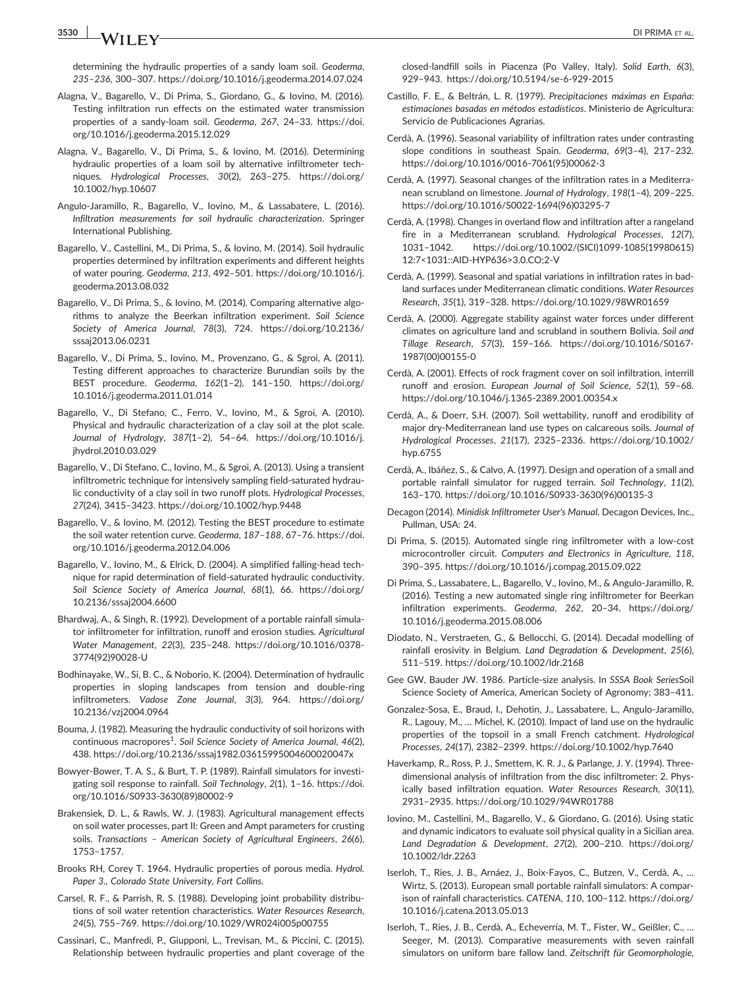3530 **I NA/ILLEN/** OILPRIMA ET AL.

determining the hydraulic properties of a sandy loam soil. Geoderma, 235–236, 300–307.<https://doi.org/10.1016/j.geoderma.2014.07.024>

- Alagna, V., Bagarello, V., Di Prima, S., Giordano, G., & Iovino, M. (2016). Testing infiltration run effects on the estimated water transmission properties of a sandy‐loam soil. Geoderma, 267, 24–33. [https://doi.](https://doi.org/10.1016/j.geoderma.2015.12.029) [org/10.1016/j.geoderma.2015.12.029](https://doi.org/10.1016/j.geoderma.2015.12.029)
- Alagna, V., Bagarello, V., Di Prima, S., & Iovino, M. (2016). Determining hydraulic properties of a loam soil by alternative infiltrometer techniques. Hydrological Processes, 30(2), 263–275. [https://doi.org/](https://doi.org/10.1002/hyp.10607) [10.1002/hyp.10607](https://doi.org/10.1002/hyp.10607)
- Angulo‐Jaramillo, R., Bagarello, V., Iovino, M., & Lassabatere, L. (2016). Infiltration measurements for soil hydraulic characterization. Springer International Publishing.
- Bagarello, V., Castellini, M., Di Prima, S., & Iovino, M. (2014). Soil hydraulic properties determined by infiltration experiments and different heights of water pouring. Geoderma, 213, 492–501. [https://doi.org/10.1016/j.](https://doi.org/10.1016/j.geoderma.2013.08.032) [geoderma.2013.08.032](https://doi.org/10.1016/j.geoderma.2013.08.032)
- Bagarello, V., Di Prima, S., & Iovino, M. (2014). Comparing alternative algorithms to analyze the Beerkan infiltration experiment. Soil Science Society of America Journal, 78(3), 724. [https://doi.org/10.2136/](https://doi.org/10.2136/sssaj2013.06.0231) [sssaj2013.06.0231](https://doi.org/10.2136/sssaj2013.06.0231)
- Bagarello, V., Di Prima, S., Iovino, M., Provenzano, G., & Sgroi, A. (2011). Testing different approaches to characterize Burundian soils by the BEST procedure. Geoderma, 162(1–2), 141–150. [https://doi.org/](https://doi.org/10.1016/j.geoderma.2011.01.014) [10.1016/j.geoderma.2011.01.014](https://doi.org/10.1016/j.geoderma.2011.01.014)
- Bagarello, V., Di Stefano, C., Ferro, V., Iovino, M., & Sgroi, A. (2010). Physical and hydraulic characterization of a clay soil at the plot scale. Journal of Hydrology, 387(1–2), 54–64. [https://doi.org/10.1016/j.](https://doi.org/10.1016/j.jhydrol.2010.03.029) [jhydrol.2010.03.029](https://doi.org/10.1016/j.jhydrol.2010.03.029)
- Bagarello, V., Di Stefano, C., Iovino, M., & Sgroi, A. (2013). Using a transient infiltrometric technique for intensively sampling field‐saturated hydraulic conductivity of a clay soil in two runoff plots. Hydrological Processes, 27(24), 3415–3423.<https://doi.org/10.1002/hyp.9448>
- Bagarello, V., & Iovino, M. (2012). Testing the BEST procedure to estimate the soil water retention curve. Geoderma, 187–188, 67–76. [https://doi.](https://doi.org/10.1016/j.geoderma.2012.04.006) [org/10.1016/j.geoderma.2012.04.006](https://doi.org/10.1016/j.geoderma.2012.04.006)
- Bagarello, V., Iovino, M., & Elrick, D. (2004). A simplified falling‐head technique for rapid determination of field‐saturated hydraulic conductivity. Soil Science Society of America Journal, 68(1), 66. [https://doi.org/](https://doi.org/10.2136/sssaj2004.6600) [10.2136/sssaj2004.6600](https://doi.org/10.2136/sssaj2004.6600)
- Bhardwaj, A., & Singh, R. (1992). Development of a portable rainfall simulator infiltrometer for infiltration, runoff and erosion studies. Agricultural Water Management, 22(3), 235–248. [https://doi.org/10.1016/0378](https://doi.org/10.1016/0378-3774(92)90028-U)‐ [3774\(92\)90028](https://doi.org/10.1016/0378-3774(92)90028-U)‐U
- Bodhinayake, W., Si, B. C., & Noborio, K. (2004). Determination of hydraulic properties in sloping landscapes from tension and double-ring infiltrometers. Vadose Zone Journal, 3(3), 964. [https://doi.org/](https://doi.org/10.2136/vzj2004.0964) [10.2136/vzj2004.0964](https://doi.org/10.2136/vzj2004.0964)
- Bouma, J. (1982). Measuring the hydraulic conductivity of soil horizons with continuous macropores<sup>1</sup>. Soil Science Society of America Journal, 46(2), 438.<https://doi.org/10.2136/sssaj1982.03615995004600020047x>
- Bowyer‐Bower, T. A. S., & Burt, T. P. (1989). Rainfall simulators for investigating soil response to rainfall. Soil Technology, 2(1), 1–16. [https://doi.](https://doi.org/10.1016/S0933-3630(89)80002-9) [org/10.1016/S0933](https://doi.org/10.1016/S0933-3630(89)80002-9)‐3630(89)80002‐9
- Brakensiek, D. L., & Rawls, W. J. (1983). Agricultural management effects on soil water processes, part II: Green and Ampt parameters for crusting soils. Transactions – American Society of Agricultural Engineers, 26(6), 1753–1757.
- Brooks RH, Corey T. 1964. Hydraulic properties of porous media. Hydrol. Paper 3., Colorado State University, Fort Collins.
- Carsel, R. F., & Parrish, R. S. (1988). Developing joint probability distributions of soil water retention characteristics. Water Resources Research, 24(5), 755–769.<https://doi.org/10.1029/WR024i005p00755>
- Cassinari, C., Manfredi, P., Giupponi, L., Trevisan, M., & Piccini, C. (2015). Relationship between hydraulic properties and plant coverage of the

closed‐landfill soils in Piacenza (Po Valley, Italy). Solid Earth, 6(3), 929–943. [https://doi.org/10.5194/se](https://doi.org/10.5194/se-6-929-2015)‐6‐929‐2015

- Castillo, F. E., & Beltrán, L. R. (1979). Precipitaciones máximas en España: estimaciones basadas en métodos estadísticos. Ministerio de Agricultura: Servicio de Publicaciones Agrarias.
- Cerdà, A. (1996). Seasonal variability of infiltration rates under contrasting slope conditions in southeast Spain. Geoderma, 69(3–4), 217–232. [https://doi.org/10.1016/0016](https://doi.org/10.1016/0016-7061(95)00062-3)‐7061(95)00062‐3
- Cerdà, A. (1997). Seasonal changes of the infiltration rates in a Mediterranean scrubland on limestone. Journal of Hydrology, 198(1–4), 209–225. [https://doi.org/10.1016/S0022](https://doi.org/10.1016/S0022-1694(96)03295-7)‐1694(96)03295‐7
- Cerdà, A. (1998). Changes in overland flow and infiltration after a rangeland fire in a Mediterranean scrubland. Hydrological Processes, 12(7), 1031–1042. [https://doi.org/10.1002/\(SICI\)1099](https://doi.org/10.1002/(SICI)1099-1085(19980615)12:7%3C1031::AID-HYP636%3E3.0.CO;2-V)‐1085(19980615) 12:7<1031::AID‐[HYP636>3.0.CO;2](https://doi.org/10.1002/(SICI)1099-1085(19980615)12:7%3C1031::AID-HYP636%3E3.0.CO;2-V)‐V
- Cerdà, A. (1999). Seasonal and spatial variations in infiltration rates in badland surfaces under Mediterranean climatic conditions. Water Resources Research, 35(1), 319–328.<https://doi.org/10.1029/98WR01659>
- Cerdà, A. (2000). Aggregate stability against water forces under different climates on agriculture land and scrubland in southern Bolivia. Soil and Tillage Research, 57(3), 159–166. [https://doi.org/10.1016/S0167](https://doi.org/10.1016/S0167-1987(00)00155-0)‐ [1987\(00\)00155](https://doi.org/10.1016/S0167-1987(00)00155-0)‐0
- Cerdà, A. (2001). Effects of rock fragment cover on soil infiltration, interrill runoff and erosion. European Journal of Soil Science, 52(1), 59–68. [https://doi.org/10.1046/j.1365](https://doi.org/10.1046/j.1365-2389.2001.00354.x)‐2389.2001.00354.x
- Cerdà, A., & Doerr, S.H. (2007). Soil wettability, runoff and erodibility of major dry‐Mediterranean land use types on calcareous soils. Journal of Hydrological Processes, 21(17), 2325–2336. [https://doi.org/10.1002/](https://doi.org/10.1016/S0933-3630(96)00135-3) [hyp.6755](https://doi.org/10.1016/S0933-3630(96)00135-3)
- Cerdà, A., Ibáñez, S., & Calvo, A. (1997). Design and operation of a small and portable rainfall simulator for rugged terrain. Soil Technology, 11(2), 163–170. [https://doi.org/10.1016/S0933](https://doi.org/10.1016/S0933-3630(96)00135-3)‐3630(96)00135‐3
- Decagon (2014). Minidisk Infiltrometer User's Manual. Decagon Devices, Inc., Pullman, USA: 24.
- Di Prima, S. (2015). Automated single ring infiltrometer with a low‐cost microcontroller circuit. Computers and Electronics in Agriculture, 118, 390–395.<https://doi.org/10.1016/j.compag.2015.09.022>
- Di Prima, S., Lassabatere, L., Bagarello, V., Iovino, M., & Angulo‐Jaramillo, R. (2016). Testing a new automated single ring infiltrometer for Beerkan infiltration experiments. Geoderma, 262, 20–34. [https://doi.org/](https://doi.org/10.1016/j.geoderma.2015.08.006) [10.1016/j.geoderma.2015.08.006](https://doi.org/10.1016/j.geoderma.2015.08.006)
- Diodato, N., Verstraeten, G., & Bellocchi, G. (2014). Decadal modelling of rainfall erosivity in Belgium. Land Degradation & Development, 25(6), 511–519.<https://doi.org/10.1002/ldr.2168>
- Gee GW, Bauder JW. 1986. Particle‐size analysis. In SSSA Book SeriesSoil Science Society of America, American Society of Agronomy; 383–411.
- Gonzalez‐Sosa, E., Braud, I., Dehotin, J., Lassabatere, L., Angulo‐Jaramillo, R., Lagouy, M., … Michel, K. (2010). Impact of land use on the hydraulic properties of the topsoil in a small French catchment. Hydrological Processes, 24(17), 2382–2399.<https://doi.org/10.1002/hyp.7640>
- Haverkamp, R., Ross, P. J., Smettem, K. R. J., & Parlange, J. Y. (1994). Three‐ dimensional analysis of infiltration from the disc infiltrometer: 2. Physically based infiltration equation. Water Resources Research, 30(11), 2931–2935.<https://doi.org/10.1029/94WR01788>
- Iovino, M., Castellini, M., Bagarello, V., & Giordano, G. (2016). Using static and dynamic indicators to evaluate soil physical quality in a Sicilian area. Land Degradation & Development, 27(2), 200–210. [https://doi.org/](https://doi.org/10.1002/ldr.2263) [10.1002/ldr.2263](https://doi.org/10.1002/ldr.2263)
- Iserloh, T., Ries, J. B., Arnáez, J., Boix‐Fayos, C., Butzen, V., Cerdà, A., … Wirtz, S. (2013). European small portable rainfall simulators: A comparison of rainfall characteristics. CATENA, 110, 100–112. [https://doi.org/](https://doi.org/10.1016/j.catena.2013.05.013) [10.1016/j.catena.2013.05.013](https://doi.org/10.1016/j.catena.2013.05.013)
- Iserloh, T., Ries, J. B., Cerdà, A., Echeverría, M. T., Fister, W., Geißler, C., … Seeger, M. (2013). Comparative measurements with seven rainfall simulators on uniform bare fallow land. Zeitschrift für Geomorphologie,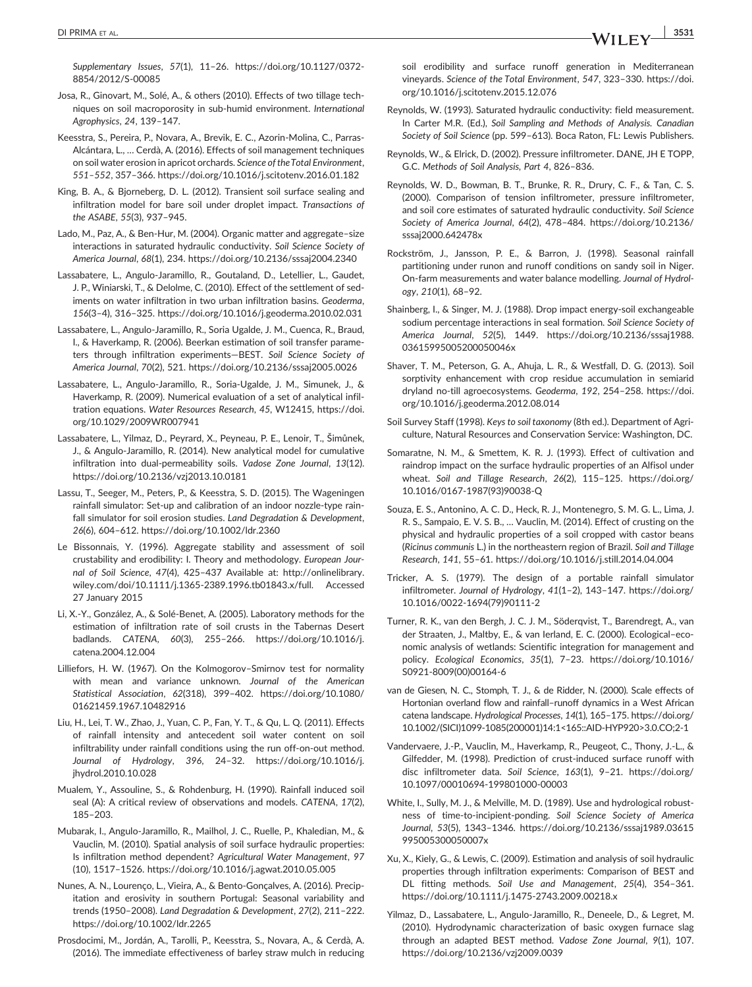Supplementary Issues, 57(1), 11–26. [https://doi.org/10.1127/0372](https://doi.org/10.1127/0372-8854/2012/S-00085)‐ [8854/2012/S](https://doi.org/10.1127/0372-8854/2012/S-00085)‐00085

- Josa, R., Ginovart, M., Solé, A., & others (2010). Effects of two tillage techniques on soil macroporosity in sub‐humid environment. International Agrophysics, 24, 139–147.
- Keesstra, S., Pereira, P., Novara, A., Brevik, E. C., Azorin‐Molina, C., Parras‐ Alcántara, L., … Cerdà, A. (2016). Effects of soil management techniques on soil water erosion in apricot orchards. Science of theTotal Environment, 551–552, 357–366.<https://doi.org/10.1016/j.scitotenv.2016.01.182>
- King, B. A., & Bjorneberg, D. L. (2012). Transient soil surface sealing and infiltration model for bare soil under droplet impact. Transactions of the ASABE, 55(3), 937–945.
- Lado, M., Paz, A., & Ben‐Hur, M. (2004). Organic matter and aggregate–size interactions in saturated hydraulic conductivity. Soil Science Society of America Journal, 68(1), 234.<https://doi.org/10.2136/sssaj2004.2340>
- Lassabatere, L., Angulo‐Jaramillo, R., Goutaland, D., Letellier, L., Gaudet, J. P., Winiarski, T., & Delolme, C. (2010). Effect of the settlement of sediments on water infiltration in two urban infiltration basins. Geoderma, 156(3–4), 316–325.<https://doi.org/10.1016/j.geoderma.2010.02.031>
- Lassabatere, L., Angulo‐Jaramillo, R., Soria Ugalde, J. M., Cuenca, R., Braud, I., & Haverkamp, R. (2006). Beerkan estimation of soil transfer parameters through infiltration experiments—BEST. Soil Science Society of America Journal, 70(2), 521.<https://doi.org/10.2136/sssaj2005.0026>
- Lassabatere, L., Angulo‐Jaramillo, R., Soria‐Ugalde, J. M., Simunek, J., & Haverkamp, R. (2009). Numerical evaluation of a set of analytical infiltration equations. Water Resources Research, 45, W12415, [https://doi.](https://doi.org/10.1029/2009WR007941) [org/10.1029/2009WR007941](https://doi.org/10.1029/2009WR007941)
- Lassabatere, L., Yilmaz, D., Peyrard, X., Peyneau, P. E., Lenoir, T., Šimůnek, J., & Angulo‐Jaramillo, R. (2014). New analytical model for cumulative infiltration into dual-permeability soils. Vadose Zone Journal, 13(12). <https://doi.org/10.2136/vzj2013.10.0181>
- Lassu, T., Seeger, M., Peters, P., & Keesstra, S. D. (2015). The Wageningen rainfall simulator: Set‐up and calibration of an indoor nozzle‐type rainfall simulator for soil erosion studies. Land Degradation & Development, 26(6), 604–612.<https://doi.org/10.1002/ldr.2360>
- Le Bissonnais, Y. (1996). Aggregate stability and assessment of soil crustability and erodibility: I. Theory and methodology. European Journal of Soil Science, 47(4), 425–437 Available at: [http://onlinelibrary.](http://onlinelibrary.wiley.com/doi/10.1111/j.1365-2389.1996.tb01843.x/full) [wiley.com/doi/10.1111/j.1365](http://onlinelibrary.wiley.com/doi/10.1111/j.1365-2389.1996.tb01843.x/full)‐2389.1996.tb01843.x/full. Accessed 27 January 2015
- Li, X.‐Y., González, A., & Solé‐Benet, A. (2005). Laboratory methods for the estimation of infiltration rate of soil crusts in the Tabernas Desert badlands. CATENA, 60(3), 255–266. [https://doi.org/10.1016/j.](https://doi.org/10.1016/j.catena.2004.12.004) [catena.2004.12.004](https://doi.org/10.1016/j.catena.2004.12.004)
- Lilliefors, H. W. (1967). On the Kolmogorov–Smirnov test for normality with mean and variance unknown. Journal of the American Statistical Association, 62(318), 399–402. [https://doi.org/10.1080/](https://doi.org/10.1080/01621459.1967.10482916) [01621459.1967.10482916](https://doi.org/10.1080/01621459.1967.10482916)
- Liu, H., Lei, T. W., Zhao, J., Yuan, C. P., Fan, Y. T., & Qu, L. Q. (2011). Effects of rainfall intensity and antecedent soil water content on soil infiltrability under rainfall conditions using the run off‐on‐out method. Journal of Hydrology, 396, 24–32. [https://doi.org/10.1016/j.](https://doi.org/10.1016/j.jhydrol.2010.10.028) [jhydrol.2010.10.028](https://doi.org/10.1016/j.jhydrol.2010.10.028)
- Mualem, Y., Assouline, S., & Rohdenburg, H. (1990). Rainfall induced soil seal (A): A critical review of observations and models. CATENA, 17(2), 185–203.
- Mubarak, I., Angulo‐Jaramillo, R., Mailhol, J. C., Ruelle, P., Khaledian, M., & Vauclin, M. (2010). Spatial analysis of soil surface hydraulic properties: Is infiltration method dependent? Agricultural Water Management, 97 (10), 1517–1526.<https://doi.org/10.1016/j.agwat.2010.05.005>
- Nunes, A. N., Lourenço, L., Vieira, A., & Bento‐Gonçalves, A. (2016). Precipitation and erosivity in southern Portugal: Seasonal variability and trends (1950–2008). Land Degradation & Development, 27(2), 211–222. <https://doi.org/10.1002/ldr.2265>
- Prosdocimi, M., Jordán, A., Tarolli, P., Keesstra, S., Novara, A., & Cerdà, A. (2016). The immediate effectiveness of barley straw mulch in reducing

soil erodibility and surface runoff generation in Mediterranean vineyards. Science of the Total Environment, 547, 323–330. [https://doi.](https://doi.org/10.1016/j.scitotenv.2015.12.076) [org/10.1016/j.scitotenv.2015.12.076](https://doi.org/10.1016/j.scitotenv.2015.12.076)

- Reynolds, W. (1993). Saturated hydraulic conductivity: field measurement. In Carter M.R. (Ed.), Soil Sampling and Methods of Analysis. Canadian Society of Soil Science (pp. 599–613). Boca Raton, FL: Lewis Publishers.
- Reynolds, W., & Elrick, D. (2002). Pressure infiltrometer. DANE, JH E TOPP, G.C. Methods of Soil Analysis, Part 4, 826–836.
- Reynolds, W. D., Bowman, B. T., Brunke, R. R., Drury, C. F., & Tan, C. S. (2000). Comparison of tension infiltrometer, pressure infiltrometer, and soil core estimates of saturated hydraulic conductivity. Soil Science Society of America Journal, 64(2), 478–484. [https://doi.org/10.2136/](https://doi.org/10.2136/sssaj2000.642478x) [sssaj2000.642478x](https://doi.org/10.2136/sssaj2000.642478x)
- Rockström, J., Jansson, P. E., & Barron, J. (1998). Seasonal rainfall partitioning under runon and runoff conditions on sandy soil in Niger. On‐farm measurements and water balance modelling. Journal of Hydrology, 210(1), 68–92.
- Shainberg, I., & Singer, M. J. (1988). Drop impact energy-soil exchangeable sodium percentage interactions in seal formation. Soil Science Society of America Journal, 52(5), 1449. [https://doi.org/10.2136/sssaj1988.](https://doi.org/10.2136/sssaj1988.03615995005200050046x) [03615995005200050046x](https://doi.org/10.2136/sssaj1988.03615995005200050046x)
- Shaver, T. M., Peterson, G. A., Ahuja, L. R., & Westfall, D. G. (2013). Soil sorptivity enhancement with crop residue accumulation in semiarid dryland no‐till agroecosystems. Geoderma, 192, 254–258. [https://doi.](https://doi.org/10.1016/j.geoderma.2012.08.014) [org/10.1016/j.geoderma.2012.08.014](https://doi.org/10.1016/j.geoderma.2012.08.014)
- Soil Survey Staff (1998). Keys to soil taxonomy (8th ed.). Department of Agriculture, Natural Resources and Conservation Service: Washington, DC.
- Somaratne, N. M., & Smettem, K. R. J. (1993). Effect of cultivation and raindrop impact on the surface hydraulic properties of an Alfisol under wheat. Soil and Tillage Research, 26(2), 115–125. [https://doi.org/](https://doi.org/10.1016/0167-1987(93)90038-Q) 10.1016/0167‐[1987\(93\)90038](https://doi.org/10.1016/0167-1987(93)90038-Q)‐Q
- Souza, E. S., Antonino, A. C. D., Heck, R. J., Montenegro, S. M. G. L., Lima, J. R. S., Sampaio, E. V. S. B., … Vauclin, M. (2014). Effect of crusting on the physical and hydraulic properties of a soil cropped with castor beans (Ricinus communis L.) in the northeastern region of Brazil. Soil and Tillage Research, 141, 55–61.<https://doi.org/10.1016/j.still.2014.04.004>
- Tricker, A. S. (1979). The design of a portable rainfall simulator infiltrometer. Journal of Hydrology, 41(1–2), 143–147. [https://doi.org/](https://doi.org/10.1016/0022-1694(79)90111-2) 10.1016/0022‐[1694\(79\)90111](https://doi.org/10.1016/0022-1694(79)90111-2)‐2
- Turner, R. K., van den Bergh, J. C. J. M., Söderqvist, T., Barendregt, A., van der Straaten, J., Maltby, E., & van Ierland, E. C. (2000). Ecological–economic analysis of wetlands: Scientific integration for management and policy. Ecological Economics, 35(1), 7–23. [https://doi.org/10.1016/](https://doi.org/10.1016/S0921-8009(00)00164-6) S0921‐[8009\(00\)00164](https://doi.org/10.1016/S0921-8009(00)00164-6)‐6
- van de Giesen, N. C., Stomph, T. J., & de Ridder, N. (2000). Scale effects of Hortonian overland flow and rainfall–runoff dynamics in a West African catena landscape. Hydrological Processes, 14(1), 165–175. [https://doi.org/](https://doi.org/10.1002/(SICI)1099-1085(200001)14:1%3C165::AID-HYP920%3E3.0.CO;2-1) 10.1002/(SICI)1099‐[1085\(200001\)14:1<165::AID](https://doi.org/10.1002/(SICI)1099-1085(200001)14:1%3C165::AID-HYP920%3E3.0.CO;2-1)‐HYP920>3.0.CO;2‐1
- Vandervaere, J.‐P., Vauclin, M., Haverkamp, R., Peugeot, C., Thony, J.‐L., & Gilfedder, M. (1998). Prediction of crust-induced surface runoff with disc infiltrometer data. Soil Science, 163(1), 9–21. [https://doi.org/](https://doi.org/10.1097/00010694-199801000-00003) [10.1097/00010694](https://doi.org/10.1097/00010694-199801000-00003)‐199801000‐00003
- White, I., Sully, M. J., & Melville, M. D. (1989). Use and hydrological robustness of time‐to‐incipient‐ponding. Soil Science Society of America Journal, 53(5), 1343–1346. [https://doi.org/10.2136/sssaj1989.03615](https://doi.org/10.2136/sssaj1989.03615995005300050007x) [995005300050007x](https://doi.org/10.2136/sssaj1989.03615995005300050007x)
- Xu, X., Kiely, G., & Lewis, C. (2009). Estimation and analysis of soil hydraulic properties through infiltration experiments: Comparison of BEST and DL fitting methods. Soil Use and Management, 25(4), 354–361. [https://doi.org/10.1111/j.1475](https://doi.org/10.1111/j.1475-2743.2009.00218.x)‐2743.2009.00218.x
- Yilmaz, D., Lassabatere, L., Angulo‐Jaramillo, R., Deneele, D., & Legret, M. (2010). Hydrodynamic characterization of basic oxygen furnace slag through an adapted BEST method. Vadose Zone Journal, 9(1), 107. <https://doi.org/10.2136/vzj2009.0039>